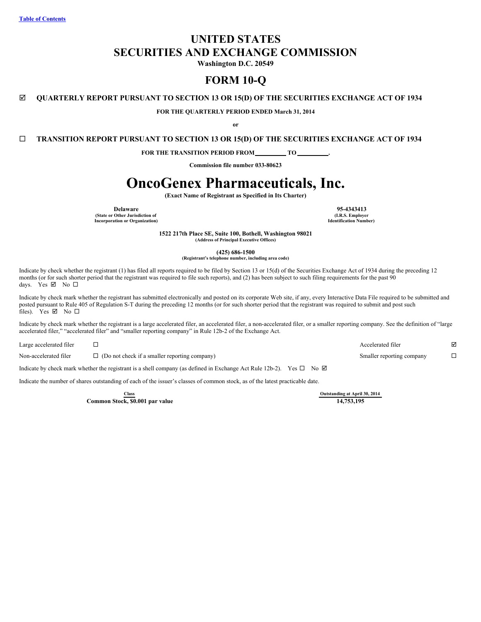# **UNITED STATES SECURITIES AND EXCHANGE COMMISSION**

**Washington D.C. 20549**

# **FORM 10-Q**

# þ **QUARTERLY REPORT PURSUANT TO SECTION 13 OR 15(D) OF THE SECURITIES EXCHANGE ACT OF 1934**

**FOR THE QUARTERLY PERIOD ENDED March 31, 2014**

**or**

¨ **TRANSITION REPORT PURSUANT TO SECTION 13 OR 15(D) OF THE SECURITIES EXCHANGE ACT OF 1934**

**FOR THE TRANSITION PERIOD FROM TO .**

**Commission file number 033-80623**

# **OncoGenex Pharmaceuticals, Inc.**

**(Exact Name of Registrant as Specified in Its Charter)**

**(State or Other Jurisdiction of Incorporation or Organization)**

**Delaware 95-4343413 (I.R.S. Employer Identification Number)**

> **1522 217th Place SE, Suite 100, Bothell, Washington 98021 (Address of Principal Executive Offices)**

> > **(425) 686-1500**

**(Registrant's telephone number, including area code)**

Indicate by check whether the registrant (1) has filed all reports required to be filed by Section 13 or 15(d) of the Securities Exchange Act of 1934 during the preceding 12 months (or for such shorter period that the registrant was required to file such reports), and (2) has been subject to such filing requirements for the past 90 days. Yes  $\boxtimes$  No  $\square$ 

Indicate by check mark whether the registrant has submitted electronically and posted on its corporate Web site, if any, every Interactive Data File required to be submitted and posted pursuant to Rule 405 of Regulation S-T during the preceding 12 months (or for such shorter period that the registrant was required to submit and post such files). Yes  $\boxtimes$  No  $\square$ 

Indicate by check mark whether the registrant is a large accelerated filer, an accelerated filer, a non-accelerated filer, or a smaller reporting company. See the definition of "large accelerated filer," "accelerated filer" and "smaller reporting company" in Rule 12b-2 of the Exchange Act.

| Large accelerated filer |                                                      | Accelerated filer         |  |
|-------------------------|------------------------------------------------------|---------------------------|--|
| Non-accelerated filer   | $\Box$ (Do not check if a smaller reporting company) | Smaller reporting company |  |
|                         |                                                      |                           |  |

Indicate by check mark whether the registrant is a shell company (as defined in Exchange Act Rule 12b-2). Yes  $\Box$  No  $\Box$ 

Indicate the number of shares outstanding of each of the issuer's classes of common stock, as of the latest practicable date.

**Common Stock, \$0.001 par value** 

**Class Outstanding at April 30, 2014**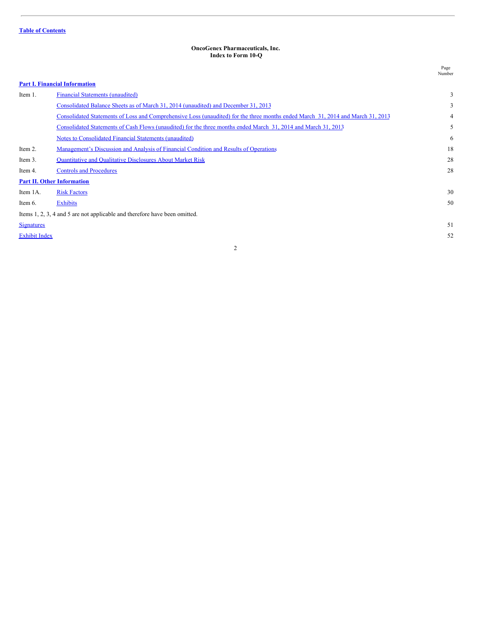#### <span id="page-1-0"></span>**OncoGenex Pharmaceuticals, Inc. Index to Form 10-Q**

|                      |                                                                                                                                 | Page<br>Number |
|----------------------|---------------------------------------------------------------------------------------------------------------------------------|----------------|
|                      | <b>Part I. Financial Information</b>                                                                                            |                |
| Item 1.              | <b>Financial Statements (unaudited)</b>                                                                                         | 3              |
|                      | Consolidated Balance Sheets as of March 31, 2014 (unaudited) and December 31, 2013                                              | 3              |
|                      | Consolidated Statements of Loss and Comprehensive Loss (unaudited) for the three months ended March 31, 2014 and March 31, 2013 | 4              |
|                      | Consolidated Statements of Cash Flows (unaudited) for the three months ended March 31, 2014 and March 31, 2013                  | 5              |
|                      | Notes to Consolidated Financial Statements (unaudited)                                                                          | 6              |
| Item 2.              | Management's Discussion and Analysis of Financial Condition and Results of Operations                                           | 18             |
| Item 3.              | <b>Quantitative and Qualitative Disclosures About Market Risk</b>                                                               | 28             |
| Item 4.              | <b>Controls and Procedures</b>                                                                                                  | 28             |
|                      | <b>Part II. Other Information</b>                                                                                               |                |
| Item 1A.             | <b>Risk Factors</b>                                                                                                             | 30             |
| Item 6.              | <b>Exhibits</b>                                                                                                                 | 50             |
|                      | Items 1, 2, 3, 4 and 5 are not applicable and therefore have been omitted.                                                      |                |
| <b>Signatures</b>    |                                                                                                                                 | 51             |
| <b>Exhibit Index</b> |                                                                                                                                 | 52             |
|                      |                                                                                                                                 |                |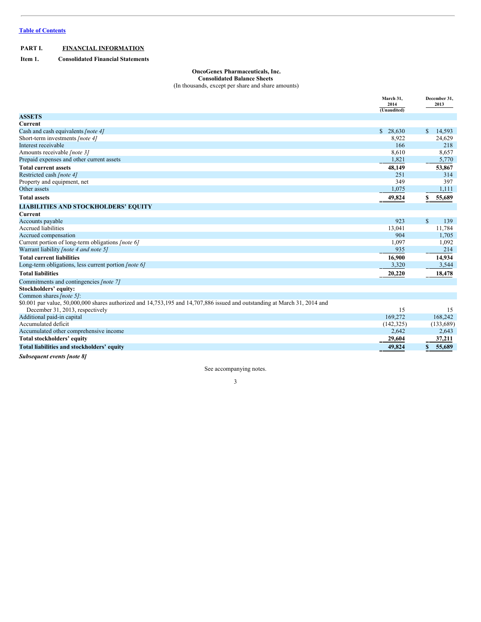# <span id="page-2-0"></span>**PART I. FINANCIAL INFORMATION**

<span id="page-2-1"></span>**Item 1. Consolidated Financial Statements**

# <span id="page-2-2"></span>**OncoGenex Pharmaceuticals, Inc. Consolidated Balance Sheets**

(In thousands, except per share and share amounts)

|                                                                                                                            | March 31,<br>2014<br>(Unaudited) | December 31,<br>2013   |
|----------------------------------------------------------------------------------------------------------------------------|----------------------------------|------------------------|
| <b>ASSETS</b>                                                                                                              |                                  |                        |
| Current                                                                                                                    |                                  |                        |
| Cash and cash equivalents [note 4]                                                                                         | \$28,630                         | $\mathbb{S}$<br>14,593 |
| Short-term investments [note 4]                                                                                            | 8,922                            | 24,629                 |
| Interest receivable                                                                                                        | 166                              | 218                    |
| Amounts receivable [note 3]                                                                                                | 8,610                            | 8,657                  |
| Prepaid expenses and other current assets                                                                                  | 1,821                            | 5,770                  |
| <b>Total current assets</b>                                                                                                | 48,149                           | 53,867                 |
| Restricted cash [note 4]                                                                                                   | 251                              | 314                    |
| Property and equipment, net                                                                                                | 349                              | 397                    |
| Other assets                                                                                                               | 1,075                            | 1,111                  |
| <b>Total assets</b>                                                                                                        | 49,824                           | 55,689                 |
| <b>LIABILITIES AND STOCKHOLDERS' EQUITY</b>                                                                                |                                  |                        |
| Current                                                                                                                    |                                  |                        |
| Accounts payable                                                                                                           | 923                              | $\mathbb{S}$<br>139    |
| <b>Accrued liabilities</b>                                                                                                 | 13,041                           | 11,784                 |
| Accrued compensation                                                                                                       | 904                              | 1,705                  |
| Current portion of long-term obligations [note 6]                                                                          | 1,097                            | 1,092                  |
| Warrant liability <i>[note 4 and note 5]</i>                                                                               | 935                              | 214                    |
| <b>Total current liabilities</b>                                                                                           | 16,900                           | 14,934                 |
| Long-term obligations, less current portion <i>[note 6]</i>                                                                | 3,320                            | 3,544                  |
| <b>Total liabilities</b>                                                                                                   | 20,220                           | 18,478                 |
| Commitments and contingencies [note 7]                                                                                     |                                  |                        |
| Stockholders' equity:                                                                                                      |                                  |                        |
| Common shares [note 5]:                                                                                                    |                                  |                        |
| \$0.001 par value, 50,000,000 shares authorized and 14,753,195 and 14,707,886 issued and outstanding at March 31, 2014 and |                                  |                        |
| December 31, 2013, respectively                                                                                            | 15                               | 15                     |
| Additional paid-in capital                                                                                                 | 169,272                          | 168,242                |
| Accumulated deficit                                                                                                        | (142, 325)                       | (133,689)              |
| Accumulated other comprehensive income                                                                                     | 2,642                            | 2,643                  |
| Total stockholders' equity                                                                                                 | 29,604                           | 37,211                 |
| Total liabilities and stockholders' equity                                                                                 | 49,824                           | 55,689<br>S            |
| <b>Subsequent events [note 8]</b>                                                                                          |                                  |                        |

See accompanying notes.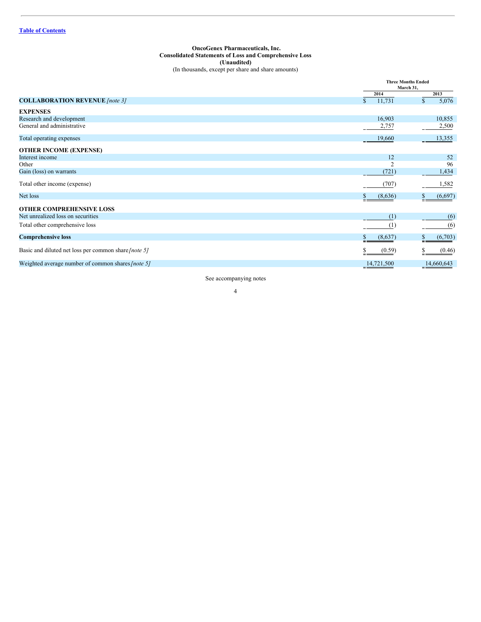# <span id="page-3-0"></span>**OncoGenex Pharmaceuticals, Inc. Consolidated Statements of Loss and Comprehensive Loss (Unaudited)** (In thousands, except per share and share amounts)

|                                                      |                        | <b>Three Months Ended</b><br>March 31, |
|------------------------------------------------------|------------------------|----------------------------------------|
|                                                      | 2014                   | 2013                                   |
| <b>COLLABORATION REVENUE</b> [note 3]                | 11,731<br>$\mathbb{S}$ | $\mathbb{S}$<br>5,076                  |
| <b>EXPENSES</b>                                      |                        |                                        |
| Research and development                             | 16,903                 | 10,855                                 |
| General and administrative                           | 2,757                  | 2,500                                  |
| Total operating expenses                             | 19,660                 | 13,355                                 |
| <b>OTHER INCOME (EXPENSE)</b>                        |                        |                                        |
| Interest income                                      |                        | 12<br>52                               |
| Other                                                |                        | 96                                     |
| Gain (loss) on warrants                              | (721)                  | 1,434                                  |
| Total other income (expense)                         | (707)                  | 1,582                                  |
| Net loss                                             | (8,636)                | (6,697)                                |
| <b>OTHER COMPREHENSIVE LOSS</b>                      |                        |                                        |
| Net unrealized loss on securities                    |                        | (1)<br>(6)                             |
| Total other comprehensive loss                       |                        | (6)<br>(1)                             |
| <b>Comprehensive loss</b>                            | (8,637)                | (6,703)                                |
| Basic and diluted net loss per common share [note 5] | (0.59)                 | (0.46)                                 |
| Weighted average number of common shares [note 5]    | 14.721.500             | 14,660,643                             |

See accompanying notes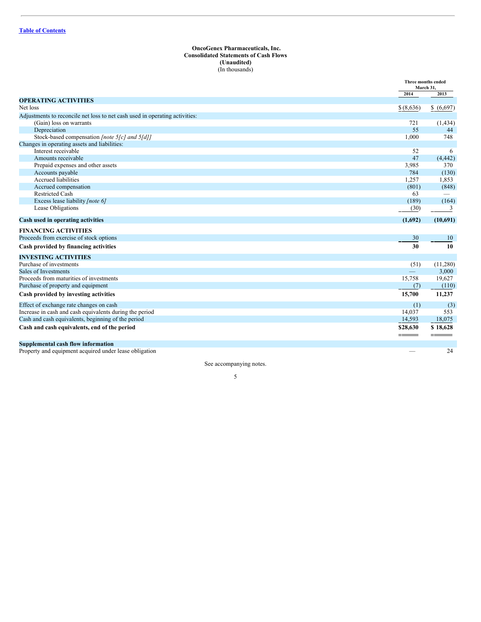# <span id="page-4-0"></span>**OncoGenex Pharmaceuticals, Inc. Consolidated Statements of Cash Flows (Unaudited)** (In thousands)

|                                                                             |            | Three months ended<br>March 31, |
|-----------------------------------------------------------------------------|------------|---------------------------------|
|                                                                             | 2014       | 2013                            |
| <b>OPERATING ACTIVITIES</b>                                                 |            |                                 |
| Net loss                                                                    | \$ (8,636) | \$ (6,697)                      |
| Adjustments to reconcile net loss to net cash used in operating activities: |            |                                 |
| (Gain) loss on warrants                                                     | 721        | (1, 434)                        |
| Depreciation                                                                | 55         | 44                              |
| Stock-based compensation [note 5[c] and 5[d]]                               | 1,000      | 748                             |
| Changes in operating assets and liabilities:                                |            |                                 |
| Interest receivable                                                         | 52         | 6                               |
| Amounts receivable                                                          | 47         | (4, 442)                        |
| Prepaid expenses and other assets                                           | 3,985      | 370                             |
| Accounts payable                                                            | 784        | (130)                           |
| <b>Accrued liabilities</b>                                                  | 1,257      | 1,853                           |
| Accrued compensation                                                        | (801)      | (848)                           |
| <b>Restricted Cash</b>                                                      | 63         |                                 |
| Excess lease liability [note 6]                                             | (189)      | (164)                           |
| Lease Obligations                                                           | (30)       | 3                               |
| Cash used in operating activities                                           | (1,692)    | (10,691)                        |
| <b>FINANCING ACTIVITIES</b>                                                 |            |                                 |
| Proceeds from exercise of stock options                                     | 30         | 10                              |
| Cash provided by financing activities                                       | 30         | 10                              |
| <b>INVESTING ACTIVITIES</b>                                                 |            |                                 |
| Purchase of investments                                                     | (51)       | (11,280)                        |
| Sales of Investments                                                        |            | 3,000                           |
| Proceeds from maturities of investments                                     | 15,758     | 19,627                          |
| Purchase of property and equipment                                          | (7)        | (110)                           |
| Cash provided by investing activities                                       | 15,700     | 11,237                          |
| Effect of exchange rate changes on cash                                     | (1)        | (3)                             |
| Increase in cash and cash equivalents during the period                     | 14,037     | 553                             |
| Cash and cash equivalents, beginning of the period                          | 14,593     | 18,075                          |
| Cash and cash equivalents, end of the period                                | \$28,630   | \$18,628                        |
|                                                                             |            |                                 |
| <b>Supplemental cash flow information</b>                                   |            |                                 |
| Property and equipment acquired under lease obligation                      |            | 24                              |

See accompanying notes.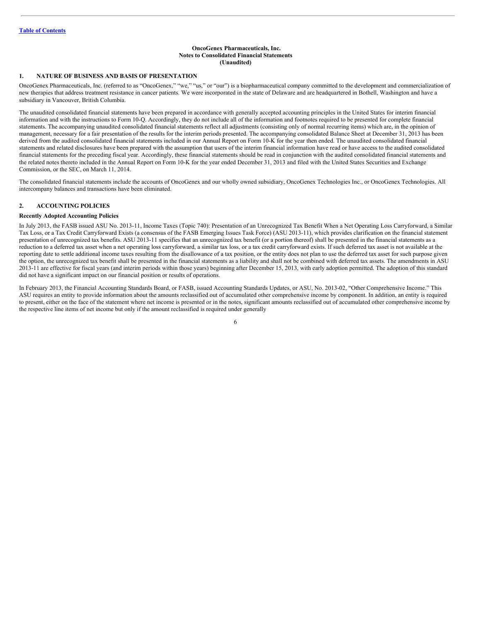# <span id="page-5-0"></span>**OncoGenex Pharmaceuticals, Inc. Notes to Consolidated Financial Statements (Unaudited)**

# **1. NATURE OF BUSINESS AND BASIS OF PRESENTATION**

OncoGenex Pharmaceuticals, Inc. (referred to as "OncoGenex," "we," "us," or "our") is a biopharmaceutical company committed to the development and commercialization of new therapies that address treatment resistance in cancer patients. We were incorporated in the state of Delaware and are headquartered in Bothell, Washington and have a subsidiary in Vancouver, British Columbia.

The unaudited consolidated financial statements have been prepared in accordance with generally accepted accounting principles in the United States for interim financial information and with the instructions to Form 10-Q. Accordingly, they do not include all of the information and footnotes required to be presented for complete financial statements. The accompanying unaudited consolidated financial statements reflect all adjustments (consisting only of normal recurring items) which are, in the opinion of management, necessary for a fair presentation of the results for the interim periods presented. The accompanying consolidated Balance Sheet at December 31, 2013 has been derived from the audited consolidated financial statements included in our Annual Report on Form 10-K for the year then ended. The unaudited consolidated financial statements and related disclosures have been prepared with the assumption that users of the interim financial information have read or have access to the audited consolidated financial statements for the preceding fiscal year. Accordingly, these financial statements should be read in conjunction with the audited consolidated financial statements and the related notes thereto included in the Annual Report on Form 10-K for the year ended December 31, 2013 and filed with the United States Securities and Exchange Commission, or the SEC, on March 11, 2014.

The consolidated financial statements include the accounts of OncoGenex and our wholly owned subsidiary, OncoGenex Technologies Inc., or OncoGenex Technologies. All intercompany balances and transactions have been eliminated.

# **2. ACCOUNTING POLICIES**

# **Recently Adopted Accounting Policies**

In July 2013, the FASB issued ASU No. 2013-11, Income Taxes (Topic 740): Presentation of an Unrecognized Tax Benefit When a Net Operating Loss Carryforward, a Similar Tax Loss, or a Tax Credit Carryforward Exists (a consensus of the FASB Emerging Issues Task Force) (ASU 2013-11), which provides clarification on the financial statement presentation of unrecognized tax benefits. ASU 2013-11 specifies that an unrecognized tax benefit (or a portion thereof) shall be presented in the financial statements as a reduction to a deferred tax asset when a net operating loss carryforward, a similar tax loss, or a tax credit carryforward exists. If such deferred tax asset is not available at the reporting date to settle additional income taxes resulting from the disallowance of a tax position, or the entity does not plan to use the deferred tax asset for such purpose given the option, the unrecognized tax benefit shall be presented in the financial statements as a liability and shall not be combined with deferred tax assets. The amendments in ASU 2013-11 are effective for fiscal years (and interim periods within those years) beginning after December 15, 2013, with early adoption permitted. The adoption of this standard did not have a significant impact on our financial position or results of operations.

In February 2013, the Financial Accounting Standards Board, or FASB, issued Accounting Standards Updates, or ASU, No. 2013-02, "Other Comprehensive Income." This ASU requires an entity to provide information about the amounts reclassified out of accumulated other comprehensive income by component. In addition, an entity is required to present, either on the face of the statement where net income is presented or in the notes, significant amounts reclassified out of accumulated other comprehensive income by the respective line items of net income but only if the amount reclassified is required under generally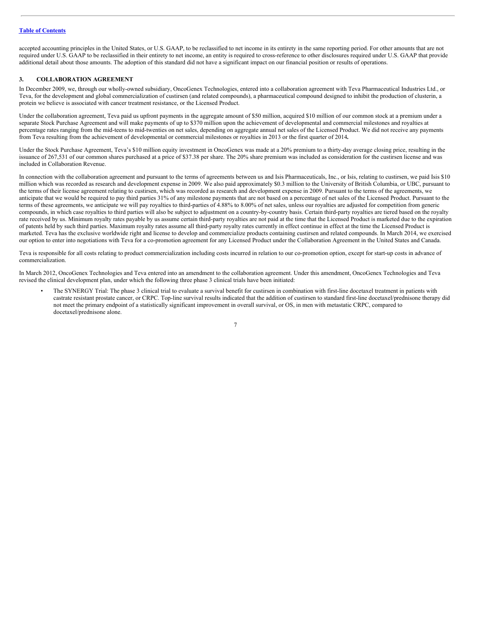accepted accounting principles in the United States, or U.S. GAAP, to be reclassified to net income in its entirety in the same reporting period. For other amounts that are not required under U.S. GAAP to be reclassified in their entirety to net income, an entity is required to cross-reference to other disclosures required under U.S. GAAP that provide additional detail about those amounts. The adoption of this standard did not have a significant impact on our financial position or results of operations.

# **3. COLLABORATION AGREEMENT**

In December 2009, we, through our wholly-owned subsidiary, OncoGenex Technologies, entered into a collaboration agreement with Teva Pharmaceutical Industries Ltd., or Teva, for the development and global commercialization of custirsen (and related compounds), a pharmaceutical compound designed to inhibit the production of clusterin, a protein we believe is associated with cancer treatment resistance, or the Licensed Product.

Under the collaboration agreement, Teva paid us upfront payments in the aggregate amount of \$50 million, acquired \$10 million of our common stock at a premium under a separate Stock Purchase Agreement and will make payments of up to \$370 million upon the achievement of developmental and commercial milestones and royalties at percentage rates ranging from the mid-teens to mid-twenties on net sales, depending on aggregate annual net sales of the Licensed Product. We did not receive any payments from Teva resulting from the achievement of developmental or commercial milestones or royalties in 2013 or the first quarter of 2014**.**

Under the Stock Purchase Agreement, Teva's \$10 million equity investment in OncoGenex was made at a 20% premium to a thirty-day average closing price, resulting in the issuance of 267,531 of our common shares purchased at a price of \$37.38 per share. The 20% share premium was included as consideration for the custirsen license and was included in Collaboration Revenue.

In connection with the collaboration agreement and pursuant to the terms of agreements between us and Isis Pharmaceuticals, Inc., or Isis, relating to custirsen, we paid Isis \$10 million which was recorded as research and development expense in 2009. We also paid approximately \$0.3 million to the University of British Columbia, or UBC, pursuant to the terms of their license agreement relating to custirsen, which was recorded as research and development expense in 2009. Pursuant to the terms of the agreements, we anticipate that we would be required to pay third parties 31% of any milestone payments that are not based on a percentage of net sales of the Licensed Product. Pursuant to the terms of these agreements, we anticipate we will pay royalties to third-parties of 4.88% to 8.00% of net sales, unless our royalties are adjusted for competition from generic compounds, in which case royalties to third parties will also be subject to adjustment on a country-by-country basis. Certain third-party royalties are tiered based on the royalty rate received by us. Minimum royalty rates payable by us assume certain third-party royalties are not paid at the time that the Licensed Product is marketed due to the expiration of patents held by such third parties. Maximum royalty rates assume all third-party royalty rates currently in effect continue in effect at the time the Licensed Product is marketed. Teva has the exclusive worldwide right and license to develop and commercialize products containing custirsen and related compounds. In March 2014, we exercised our option to enter into negotiations with Teva for a co-promotion agreement for any Licensed Product under the Collaboration Agreement in the United States and Canada.

Teva is responsible for all costs relating to product commercialization including costs incurred in relation to our co-promotion option, except for start-up costs in advance of commercialization.

In March 2012, OncoGenex Technologies and Teva entered into an amendment to the collaboration agreement. Under this amendment, OncoGenex Technologies and Teva revised the clinical development plan, under which the following three phase 3 clinical trials have been initiated:

• The SYNERGY Trial: The phase 3 clinical trial to evaluate a survival benefit for custirsen in combination with first-line docetaxel treatment in patients with castrate resistant prostate cancer, or CRPC. Top-line survival results indicated that the addition of custirsen to standard first-line docetaxel/prednisone therapy did not meet the primary endpoint of a statistically significant improvement in overall survival, or OS, in men with metastatic CRPC, compared to docetaxel/prednisone alone.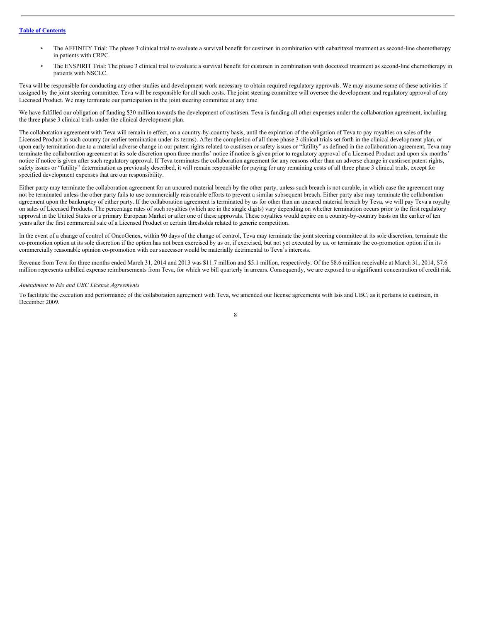- The AFFINITY Trial: The phase 3 clinical trial to evaluate a survival benefit for custirsen in combination with cabazitaxel treatment as second-line chemotherapy in patients with CRPC.
- The ENSPIRIT Trial: The phase 3 clinical trial to evaluate a survival benefit for custirsen in combination with docetaxel treatment as second-line chemotherapy in patients with NSCLC.

Teva will be responsible for conducting any other studies and development work necessary to obtain required regulatory approvals. We may assume some of these activities if assigned by the joint steering committee. Teva will be responsible for all such costs. The joint steering committee will oversee the development and regulatory approval of any Licensed Product. We may terminate our participation in the joint steering committee at any time.

We have fulfilled our obligation of funding \$30 million towards the development of custirsen. Teva is funding all other expenses under the collaboration agreement, including the three phase 3 clinical trials under the clinical development plan.

The collaboration agreement with Teva will remain in effect, on a country-by-country basis, until the expiration of the obligation of Teva to pay royalties on sales of the Licensed Product in such country (or earlier termination under its terms). After the completion of all three phase 3 clinical trials set forth in the clinical development plan, or upon early termination due to a material adverse change in our patent rights related to custirsen or safety issues or "futility" as defined in the collaboration agreement, Teva may terminate the collaboration agreement at its sole discretion upon three months' notice if notice is given prior to regulatory approval of a Licensed Product and upon six months' notice if notice is given after such regulatory approval. If Teva terminates the collaboration agreement for any reasons other than an adverse change in custirsen patent rights, safety issues or "futility" determination as previously described, it will remain responsible for paying for any remaining costs of all three phase 3 clinical trials, except for specified development expenses that are our responsibility.

Either party may terminate the collaboration agreement for an uncured material breach by the other party, unless such breach is not curable, in which case the agreement may not be terminated unless the other party fails to use commercially reasonable efforts to prevent a similar subsequent breach. Either party also may terminate the collaboration agreement upon the bankruptcy of either party. If the collaboration agreement is terminated by us for other than an uncured material breach by Teva, we will pay Teva a royalty on sales of Licensed Products. The percentage rates of such royalties (which are in the single digits) vary depending on whether termination occurs prior to the first regulatory approval in the United States or a primary European Market or after one of these approvals. These royalties would expire on a country-by-country basis on the earlier of ten years after the first commercial sale of a Licensed Product or certain thresholds related to generic competition.

In the event of a change of control of OncoGenex, within 90 days of the change of control, Teva may terminate the joint steering committee at its sole discretion, terminate the co-promotion option at its sole discretion if the option has not been exercised by us or, if exercised, but not yet executed by us, or terminate the co-promotion option if in its commercially reasonable opinion co-promotion with our successor would be materially detrimental to Teva's interests.

Revenue from Teva for three months ended March 31, 2014 and 2013 was \$11.7 million and \$5.1 million, respectively. Of the \$8.6 million receivable at March 31, 2014, \$7.6 million represents unbilled expense reimbursements from Teva, for which we bill quarterly in arrears. Consequently, we are exposed to a significant concentration of credit risk.

#### *Amendment to Isis and UBC License Agreements*

To facilitate the execution and performance of the collaboration agreement with Teva, we amended our license agreements with Isis and UBC, as it pertains to custirsen, in December 2009.

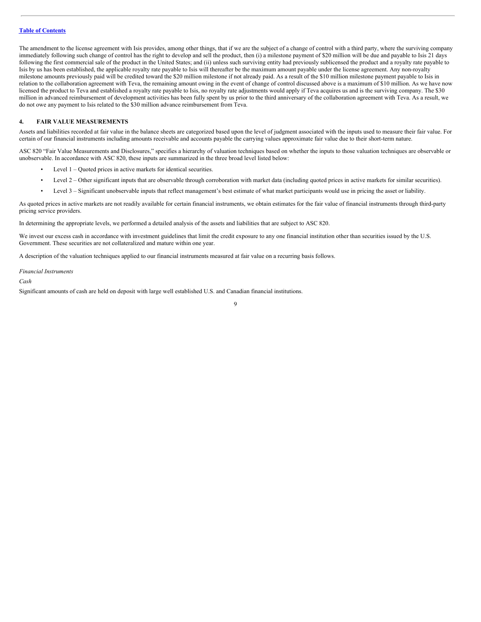The amendment to the license agreement with Isis provides, among other things, that if we are the subject of a change of control with a third party, where the surviving company immediately following such change of control has the right to develop and sell the product, then (i) a milestone payment of \$20 million will be due and payable to Isis 21 days following the first commercial sale of the product in the United States; and (ii) unless such surviving entity had previously sublicensed the product and a royalty rate payable to Isis by us has been established, the applicable royalty rate payable to Isis will thereafter be the maximum amount payable under the license agreement. Any non-royalty milestone amounts previously paid will be credited toward the \$20 million milestone if not already paid. As a result of the \$10 million milestone payment payable to Isis in relation to the collaboration agreement with Teva, the remaining amount owing in the event of change of control discussed above is a maximum of \$10 million. As we have now licensed the product to Teva and established a royalty rate payable to Isis, no royalty rate adjustments would apply if Teva acquires us and is the surviving company. The \$30 million in advanced reimbursement of development activities has been fully spent by us prior to the third anniversary of the collaboration agreement with Teva. As a result, we do not owe any payment to Isis related to the \$30 million advance reimbursement from Teva.

# **4. FAIR VALUE MEASUREMENTS**

Assets and liabilities recorded at fair value in the balance sheets are categorized based upon the level of judgment associated with the inputs used to measure their fair value. For certain of our financial instruments including amounts receivable and accounts payable the carrying values approximate fair value due to their short-term nature.

ASC 820 "Fair Value Measurements and Disclosures," specifies a hierarchy of valuation techniques based on whether the inputs to those valuation techniques are observable or unobservable. In accordance with ASC 820, these inputs are summarized in the three broad level listed below:

- Level  $1 -$ Quoted prices in active markets for identical securities.
- Level 2 Other significant inputs that are observable through corroboration with market data (including quoted prices in active markets for similar securities).
- Level 3 Significant unobservable inputs that reflect management's best estimate of what market participants would use in pricing the asset or liability.

As quoted prices in active markets are not readily available for certain financial instruments, we obtain estimates for the fair value of financial instruments through third-party pricing service providers.

In determining the appropriate levels, we performed a detailed analysis of the assets and liabilities that are subject to ASC 820.

We invest our excess cash in accordance with investment guidelines that limit the credit exposure to any one financial institution other than securities issued by the U.S. Government. These securities are not collateralized and mature within one year.

A description of the valuation techniques applied to our financial instruments measured at fair value on a recurring basis follows.

*Financial Instruments*

*Cash*

Significant amounts of cash are held on deposit with large well established U.S. and Canadian financial institutions.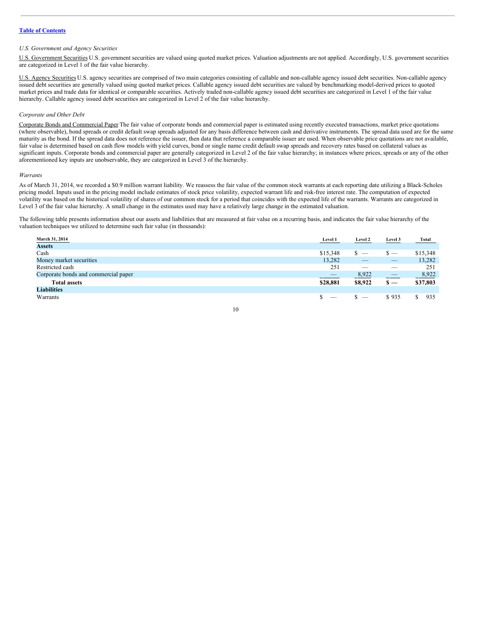# *U.S. Government and Agency Securities*

U.S. Government Securities U.S. government securities are valued using quoted market prices. Valuation adjustments are not applied. Accordingly, U.S. government securities are categorized in Level 1 of the fair value hierarchy.

U.S. Agency Securities U.S. agency securities are comprised of two main categories consisting of callable and non-callable agency issued debt securities. Non-callable agency issued debt securities are generally valued using quoted market prices. Callable agency issued debt securities are valued by benchmarking model-derived prices to quoted market prices and trade data for identical or comparable securities. Actively traded non-callable agency issued debt securities are categorized in Level 1 of the fair value hierarchy. Callable agency issued debt securities are categorized in Level 2 of the fair value hierarchy.

#### *Corporate and Other Debt*

Corporate Bonds and Commercial Paper The fair value of corporate bonds and commercial paper is estimated using recently executed transactions, market price quotations (where observable), bond spreads or credit default swap spreads adjusted for any basis difference between cash and derivative instruments. The spread data used are for the same maturity as the bond. If the spread data does not reference the issuer, then data that reference a comparable issuer are used. When observable price quotations are not available, fair value is determined based on cash flow models with yield curves, bond or single name credit default swap spreads and recovery rates based on collateral values as significant inputs. Corporate bonds and commercial paper are generally categorized in Level 2 of the fair value hierarchy; in instances where prices, spreads or any of the other aforementioned key inputs are unobservable, they are categorized in Level 3 of the hierarchy.

#### *Warrants*

As of March 31, 2014, we recorded a \$0.9 million warrant liability. We reassess the fair value of the common stock warrants at each reporting date utilizing a Black-Scholes pricing model. Inputs used in the pricing model include estimates of stock price volatility, expected warrant life and risk-free interest rate. The computation of expected volatility was based on the historical volatility of shares of our common stock for a period that coincides with the expected life of the warrants. Warrants are categorized in Level 3 of the fair value hierarchy. A small change in the estimates used may have a relatively large change in the estimated valuation.

The following table presents information about our assets and liabilities that are measured at fair value on a recurring basis, and indicates the fair value hierarchy of the valuation techniques we utilized to determine such fair value (in thousands):

| March 31, 2014                       | Level 1  | Level 2                        | Level 3                  | Total    |
|--------------------------------------|----------|--------------------------------|--------------------------|----------|
| <b>Assets</b>                        |          |                                |                          |          |
| Cash                                 | \$15,348 | _                              | S                        | \$15,348 |
| Money market securities              | 13,282   | _                              | $\qquad \qquad - \qquad$ | 13,282   |
| Restricted cash                      | 251      | $\overbrace{\hspace{25mm}}^{}$ | $\overline{\phantom{a}}$ | 251      |
| Corporate bonds and commercial paper |          | 8,922                          |                          | 8,922    |
| <b>Total assets</b>                  | \$28,881 | \$8,922                        | $\mathbf{s}$ —           | \$37,803 |
| <b>Liabilities</b>                   |          |                                |                          |          |
| Warrants                             |          | $\overline{\phantom{a}}$       | \$935                    | 935      |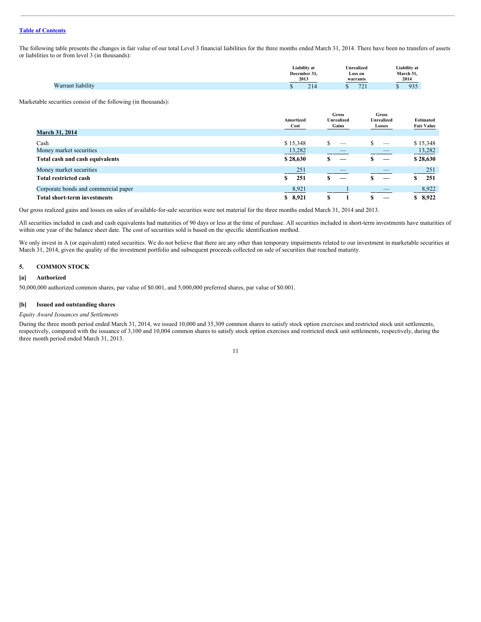The following table presents the changes in fair value of our total Level 3 financial liabilities for the three months ended March 31, 2014. There have been no transfers of assets or liabilities to or from level 3 (in thousands):

|             | Liability at | <b>Inrealized</b>     | <b>Liability</b> at    |
|-------------|--------------|-----------------------|------------------------|
|             | December.    | Loss on               | March 3 <sup>1</sup>   |
|             | 2013         | warrants              | 2014                   |
| t liability | 21<br>214    | $70^{\circ}$<br>, , , | 03 <sup>7</sup><br>ر ر |

Marketable securities consist of the following (in thousands):

|                                      | Amortized<br>Cost | <b>Gross</b><br>Unrealized<br>Gains | Gross<br><b>Unrealized</b><br>Losses | <b>Estimated</b><br><b>Fair Value</b> |
|--------------------------------------|-------------------|-------------------------------------|--------------------------------------|---------------------------------------|
| <b>March 31, 2014</b>                |                   |                                     |                                      |                                       |
| Cash                                 | \$15,348          | $\overline{\phantom{a}}$            |                                      | \$15,348                              |
| Money market securities              | 13,282            |                                     |                                      | 13,282                                |
| Total cash and cash equivalents      | \$28,630          |                                     |                                      | \$28,630                              |
| Money market securities              | $\frac{251}{251}$ |                                     |                                      | 251                                   |
| <b>Total restricted cash</b>         | 251<br>S          |                                     |                                      | 251                                   |
| Corporate bonds and commercial paper | 8,921             |                                     | _                                    | 8,922                                 |
| <b>Total short-term investments</b>  | \$8,921           | ъ                                   |                                      | 8,922                                 |

Our gross realized gains and losses on sales of available-for-sale securities were not material for the three months ended March 31, 2014 and 2013.

All securities included in cash and cash equivalents had maturities of 90 days or less at the time of purchase. All securities included in short-term investments have maturities of within one year of the balance sheet date. The cost of securities sold is based on the specific identification method.

We only invest in A (or equivalent) rated securities. We do not believe that there are any other than temporary impairments related to our investment in marketable securities at March 31, 2014, given the quality of the investment portfolio and subsequent proceeds collected on sale of securities that reached maturity.

# **5. COMMON STOCK**

# **[a] Authorized**

50,000,000 authorized common shares, par value of \$0.001, and 5,000,000 preferred shares, par value of \$0.001.

#### **[b] Issued and outstanding shares**

# *Equity Award Issuances and Settlements*

During the three month period ended March 31, 2014, we issued 10,000 and 35,309 common shares to satisfy stock option exercises and restricted stock unit settlements, respectively, compared with the issuance of 3,100 and 10,004 common shares to satisfy stock option exercises and restricted stock unit settlements, respectively, during the three month period ended March 31, 2013.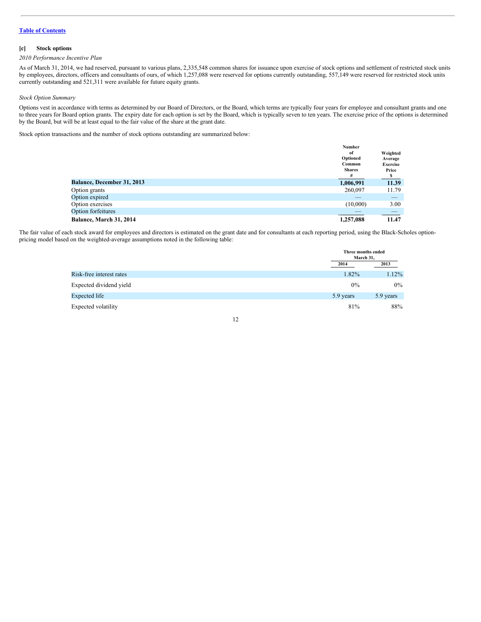# **[c] Stock options**

#### *2010 Performance Incentive Plan*

As of March 31, 2014, we had reserved, pursuant to various plans, 2,335,548 common shares for issuance upon exercise of stock options and settlement of restricted stock units by employees, directors, officers and consultants of ours, of which 1,257,088 were reserved for options currently outstanding, 557,149 were reserved for restricted stock units currently outstanding and 521,311 were available for future equity grants.

#### *Stock Option Summary*

Options vest in accordance with terms as determined by our Board of Directors, or the Board, which terms are typically four years for employee and consultant grants and one to three years for Board option grants. The expiry date for each option is set by the Board, which is typically seven to ten years. The exercise price of the options is determined by the Board, but will be at least equal to the fair value of the share at the grant date.

Stock option transactions and the number of stock options outstanding are summarized below:

|                            | <b>Number</b><br>of<br>Optioned<br>Common<br><b>Shares</b><br># | Weighted<br>Average<br><b>Exercise</b><br>Price |
|----------------------------|-----------------------------------------------------------------|-------------------------------------------------|
| Balance, December 31, 2013 | 1,006,991                                                       | $\frac{s}{11.39}$                               |
| Option grants              | 260,097                                                         | 11.79                                           |
| Option expired             |                                                                 |                                                 |
| Option exercises           | (10,000)                                                        | 3.00                                            |
| Option forfeitures         |                                                                 |                                                 |
| Balance, March 31, 2014    | 1,257,088                                                       | 11.47                                           |

The fair value of each stock award for employees and directors is estimated on the grant date and for consultants at each reporting period, using the Black-Scholes optionpricing model based on the weighted-average assumptions noted in the following table:

|                          | Three months ended<br>March 31, |           |
|--------------------------|---------------------------------|-----------|
|                          | 2014                            | 2013      |
| Risk-free interest rates | 1.82%                           | 1.12%     |
| Expected dividend yield  | $0\%$                           | $0\%$     |
| Expected life            | 5.9 years                       | 5.9 years |
| Expected volatility      | 81%                             | 88%       |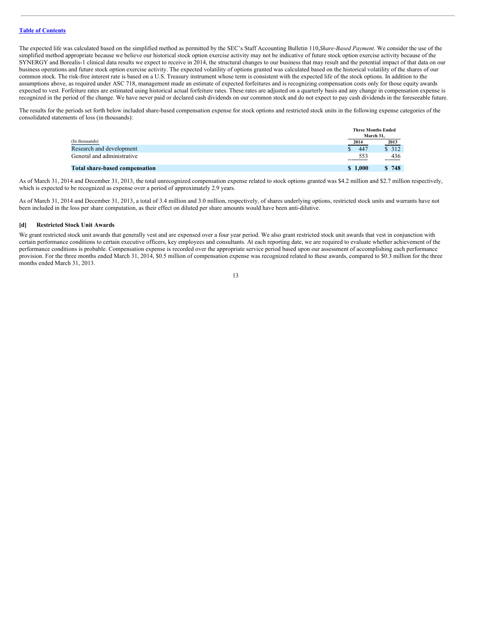The expected life was calculated based on the simplified method as permitted by the SEC's Staff Accounting Bulletin 110,*Share-Based Payment*. We consider the use of the simplified method appropriate because we believe our historical stock option exercise activity may not be indicative of future stock option exercise activity because of the SYNERGY and Borealis-1 clinical data results we expect to receive in 2014, the structural changes to our business that may result and the potential impact of that data on our business operations and future stock option exercise activity. The expected volatility of options granted was calculated based on the historical volatility of the shares of our common stock. The risk-free interest rate is based on a U.S. Treasury instrument whose term is consistent with the expected life of the stock options. In addition to the assumptions above, as required under ASC 718, management made an estimate of expected forfeitures and is recognizing compensation costs only for those equity awards expected to vest. Forfeiture rates are estimated using historical actual forfeiture rates. These rates are adjusted on a quarterly basis and any change in compensation expense is recognized in the period of the change. We have never paid or declared cash dividends on our common stock and do not expect to pay cash dividends in the foreseeable future.

The results for the periods set forth below included share-based compensation expense for stock options and restricted stock units in the following expense categories of the consolidated statements of loss (in thousands):

|                                       |         | <b>Three Months Ended</b><br>March 31. |  |
|---------------------------------------|---------|----------------------------------------|--|
| (In thousands)                        | 2014    | 2013                                   |  |
| Research and development              | 447     | \$312                                  |  |
| General and administrative            | 553     | $\frac{436}{5}$                        |  |
| <b>Total share-based compensation</b> | \$1.000 | \$748                                  |  |

As of March 31, 2014 and December 31, 2013, the total unrecognized compensation expense related to stock options granted was \$4.2 million and \$2.7 million respectively, which is expected to be recognized as expense over a period of approximately 2.9 years.

As of March 31, 2014 and December 31, 2013, a total of 3.4 million and 3.0 million, respectively, of shares underlying options, restricted stock units and warrants have not been included in the loss per share computation, as their effect on diluted per share amounts would have been anti-dilutive.

#### **[d] Restricted Stock Unit Awards**

We grant restricted stock unit awards that generally vest and are expensed over a four year period. We also grant restricted stock unit awards that vest in conjunction with certain performance conditions to certain executive officers, key employees and consultants. At each reporting date, we are required to evaluate whether achievement of the performance conditions is probable. Compensation expense is recorded over the appropriate service period based upon our assessment of accomplishing each performance provision. For the three months ended March 31, 2014, \$0.5 million of compensation expense was recognized related to these awards, compared to \$0.3 million for the three months ended March 31, 2013.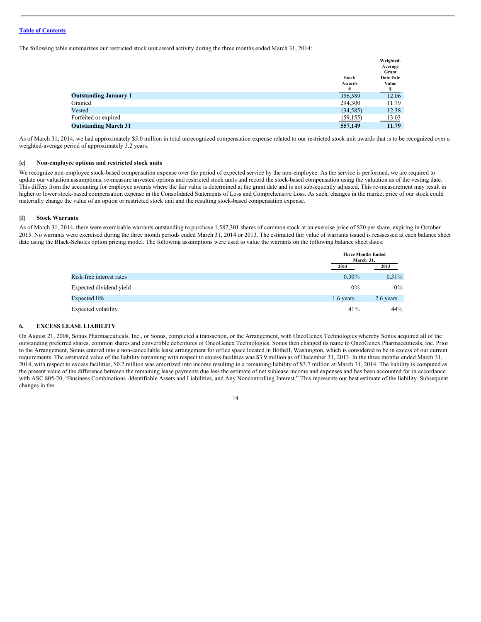The following table summarizes our restricted stock unit award activity during the three months ended March 31, 2014:

|                              | <b>Stock</b><br>Awards<br># | Weighted-<br>Average<br>Grant<br>Date Fair<br>Value |
|------------------------------|-----------------------------|-----------------------------------------------------|
| <b>Outstanding January 1</b> | 356,589                     | 12.06                                               |
| Granted                      | 294,300                     | 11.79                                               |
| Vested                       | (34, 585)                   | 12.38                                               |
| Forfeited or expired         | (59, 155)                   | 13.03                                               |
| <b>Outstanding March 31</b>  | 557,149                     | 11.79                                               |

As of March 31, 2014, we had approximately \$5.0 million in total unrecognized compensation expense related to our restricted stock unit awards that is to be recognized over a weighted-average period of approximately 3.2 years.

# **[e] Non-employee options and restricted stock units**

We recognize non-employee stock-based compensation expense over the period of expected service by the non-employee. As the service is performed, we are required to update our valuation assumptions, re-measure unvested options and restricted stock units and record the stock-based compensation using the valuation as of the vesting date. This differs from the accounting for employee awards where the fair value is determined at the grant date and is not subsequently adjusted. This re-measurement may result in higher or lower stock-based compensation expense in the Consolidated Statements of Loss and Comprehensive Loss. As such, changes in the market price of our stock could materially change the value of an option or restricted stock unit and the resulting stock-based compensation expense.

#### **[f] Stock Warrants**

As of March 31, 2014, there were exercisable warrants outstanding to purchase 1,587,301 shares of common stock at an exercise price of \$20 per share, expiring in October 2015. No warrants were exercised during the three month periods ended March 31, 2014 or 2013. The estimated fair value of warrants issued is reassessed at each balance sheet date using the Black-Scholes option pricing model. The following assumptions were used to value the warrants on the following balance sheet dates:

|                          |           | <b>Three Months Ended</b><br>March 31, |  |
|--------------------------|-----------|----------------------------------------|--|
|                          | 2014      | 2013                                   |  |
| Risk-free interest rates | $0.30\%$  | $0.31\%$                               |  |
| Expected dividend yield  | $0\%$     | $0\%$                                  |  |
| Expected life            | 1.6 years | 2.6 years                              |  |
| Expected volatility      | 41%       | 44%                                    |  |

# **6. EXCESS LEASE LIABILITY**

On August 21, 2008, Sonus Pharmaceuticals, Inc., or Sonus, completed a transaction, or the Arrangement, with OncoGenex Technologies whereby Sonus acquired all of the outstanding preferred shares, common shares and convertible debentures of OncoGenex Technologies. Sonus then changed its name to OncoGenex Pharmaceuticals, Inc. Prior to the Arrangement, Sonus entered into a non-cancellable lease arrangement for office space located in Bothell, Washington, which is considered to be in excess of our current requirements. The estimated value of the liability remaining with respect to excess facilities was \$3.9 million as of December 31, 2013. In the three months ended March 31, 2014, with respect to excess facilities, \$0.2 million was amortized into income resulting in a remaining liability of \$3.7 million at March 31, 2014. The liability is computed as the present value of the difference between the remaining lease payments due less the estimate of net sublease income and expenses and has been accounted for in accordance with ASC 805-20, "Business Combinations -Identifiable Assets and Liabilities, and Any Noncontrolling Interest." This represents our best estimate of the liability. Subsequent changes in the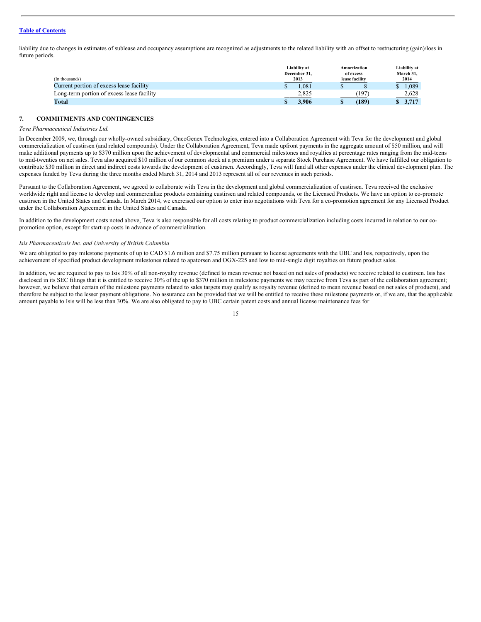liability due to changes in estimates of sublease and occupancy assumptions are recognized as adjustments to the related liability with an offset to restructuring (gain)/loss in future periods.

|                                            | Liability at | Amortization         | Liability at |
|--------------------------------------------|--------------|----------------------|--------------|
|                                            | December 31. | of excess            | March 31,    |
| (In thousands)                             | 2013         | lease facility       | 2014         |
| Current portion of excess lease facility   | .081         |                      | .089         |
| Long-term portion of excess lease facility | 2.825        | 197                  | 2,628        |
| Total                                      | 3.906        | $^{\prime}189^\circ$ | 3.717        |

#### **7. COMMITMENTS AND CONTINGENCIES**

#### *Teva Pharmaceutical Industries Ltd.*

In December 2009, we, through our wholly-owned subsidiary, OncoGenex Technologies, entered into a Collaboration Agreement with Teva for the development and global commercialization of custirsen (and related compounds). Under the Collaboration Agreement, Teva made upfront payments in the aggregate amount of \$50 million, and will make additional payments up to \$370 million upon the achievement of developmental and commercial milestones and royalties at percentage rates ranging from the mid-teens to mid-twenties on net sales. Teva also acquired \$10 million of our common stock at a premium under a separate Stock Purchase Agreement. We have fulfilled our obligation to contribute \$30 million in direct and indirect costs towards the development of custirsen. Accordingly, Teva will fund all other expenses under the clinical development plan. The expenses funded by Teva during the three months ended March 31, 2014 and 2013 represent all of our revenues in such periods.

Pursuant to the Collaboration Agreement, we agreed to collaborate with Teva in the development and global commercialization of custirsen. Teva received the exclusive worldwide right and license to develop and commercialize products containing custirsen and related compounds, or the Licensed Products. We have an option to co-promote custirsen in the United States and Canada. In March 2014, we exercised our option to enter into negotiations with Teva for a co-promotion agreement for any Licensed Product under the Collaboration Agreement in the United States and Canada.

In addition to the development costs noted above, Teva is also responsible for all costs relating to product commercialization including costs incurred in relation to our copromotion option, except for start-up costs in advance of commercialization.

#### *Isis Pharmaceuticals Inc. and University of British Columbia*

We are obligated to pay milestone payments of up to CAD \$1.6 million and \$7.75 million pursuant to license agreements with the UBC and Isis, respectively, upon the achievement of specified product development milestones related to apatorsen and OGX-225 and low to mid-single digit royalties on future product sales.

In addition, we are required to pay to Isis 30% of all non-royalty revenue (defined to mean revenue not based on net sales of products) we receive related to custirsen. Isis has disclosed in its SEC filings that it is entitled to receive 30% of the up to \$370 million in milestone payments we may receive from Teva as part of the collaboration agreement; however, we believe that certain of the milestone payments related to sales targets may qualify as royalty revenue (defined to mean revenue based on net sales of products), and therefore be subject to the lesser payment obligations. No assurance can be provided that we will be entitled to receive these milestone payments or, if we are, that the applicable amount payable to Isis will be less than 30%. We are also obligated to pay to UBC certain patent costs and annual license maintenance fees for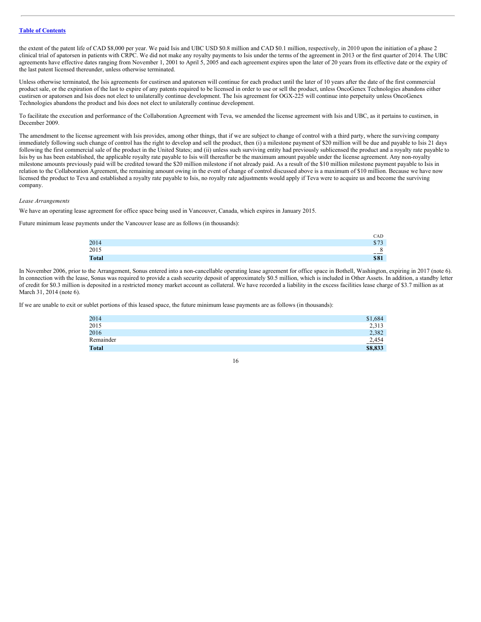the extent of the patent life of CAD \$8,000 per year. We paid Isis and UBC USD \$0.8 million and CAD \$0.1 million, respectively, in 2010 upon the initiation of a phase 2 clinical trial of apatorsen in patients with CRPC. We did not make any royalty payments to Isis under the terms of the agreement in 2013 or the first quarter of 2014. The UBC agreements have effective dates ranging from November 1, 2001 to April 5, 2005 and each agreement expires upon the later of 20 years from its effective date or the expiry of the last patent licensed thereunder, unless otherwise terminated.

Unless otherwise terminated, the Isis agreements for custirsen and apatorsen will continue for each product until the later of 10 years after the date of the first commercial product sale, or the expiration of the last to expire of any patents required to be licensed in order to use or sell the product, unless OncoGenex Technologies abandons either custirsen or apatorsen and Isis does not elect to unilaterally continue development. The Isis agreement for OGX-225 will continue into perpetuity unless OncoGenex Technologies abandons the product and Isis does not elect to unilaterally continue development.

To facilitate the execution and performance of the Collaboration Agreement with Teva, we amended the license agreement with Isis and UBC, as it pertains to custirsen, in December 2009.

The amendment to the license agreement with Isis provides, among other things, that if we are subject to change of control with a third party, where the surviving company immediately following such change of control has the right to develop and sell the product, then (i) a milestone payment of \$20 million will be due and payable to Isis 21 days following the first commercial sale of the product in the United States; and (ii) unless such surviving entity had previously sublicensed the product and a royalty rate payable to Isis by us has been established, the applicable royalty rate payable to Isis will thereafter be the maximum amount payable under the license agreement. Any non-royalty milestone amounts previously paid will be credited toward the \$20 million milestone if not already paid. As a result of the \$10 million milestone payment payable to Isis in relation to the Collaboration Agreement, the remaining amount owing in the event of change of control discussed above is a maximum of \$10 million. Because we have now licensed the product to Teva and established a royalty rate payable to Isis, no royalty rate adjustments would apply if Teva were to acquire us and become the surviving company.

#### *Lease Arrangements*

We have an operating lease agreement for office space being used in Vancouver, Canada, which expires in January 2015.

Future minimum lease payments under the Vancouver lease are as follows (in thousands):

|              | CAD         |
|--------------|-------------|
| 2014         | 0.72<br>ر ر |
| 2015         | $ -$        |
| <b>Total</b> | 0.01<br>901 |

In November 2006, prior to the Arrangement, Sonus entered into a non-cancellable operating lease agreement for office space in Bothell, Washington, expiring in 2017 (note 6). In connection with the lease, Sonus was required to provide a cash security deposit of approximately \$0.5 million, which is included in Other Assets. In addition, a standby letter of credit for \$0.3 million is deposited in a restricted money market account as collateral. We have recorded a liability in the excess facilities lease charge of \$3.7 million as at March 31, 2014 (note 6).

If we are unable to exit or sublet portions of this leased space, the future minimum lease payments are as follows (in thousands):

| 2014         | \$1,684 |
|--------------|---------|
| 2015         | 2,313   |
| 2016         | 2,382   |
| Remainder    | 2,454   |
| <b>Total</b> | \$8,833 |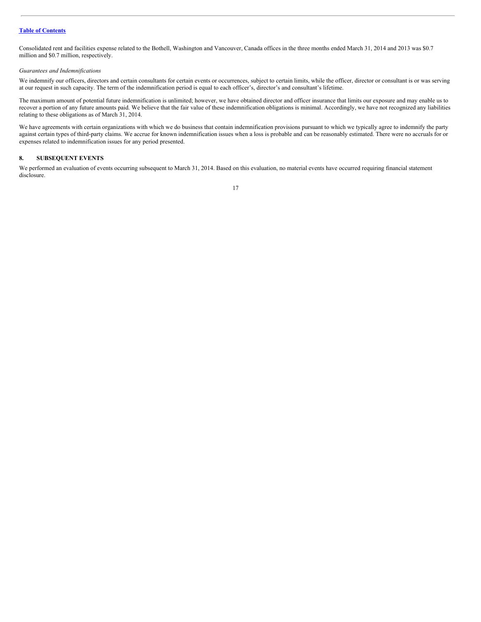Consolidated rent and facilities expense related to the Bothell, Washington and Vancouver, Canada offices in the three months ended March 31, 2014 and 2013 was \$0.7 million and \$0.7 million, respectively.

# *Guarantees and Indemnifications*

We indemnify our officers, directors and certain consultants for certain events or occurrences, subject to certain limits, while the officer, director or consultant is or was serving at our request in such capacity. The term of the indemnification period is equal to each officer's, director's and consultant's lifetime.

The maximum amount of potential future indemnification is unlimited; however, we have obtained director and officer insurance that limits our exposure and may enable us to recover a portion of any future amounts paid. We believe that the fair value of these indemnification obligations is minimal. Accordingly, we have not recognized any liabilities relating to these obligations as of March 31, 2014.

We have agreements with certain organizations with which we do business that contain indemnification provisions pursuant to which we typically agree to indemnify the party against certain types of third-party claims. We accrue for known indemnification issues when a loss is probable and can be reasonably estimated. There were no accruals for or expenses related to indemnification issues for any period presented.

# **8. SUBSEQUENT EVENTS**

We performed an evaluation of events occurring subsequent to March 31, 2014. Based on this evaluation, no material events have occurred requiring financial statement disclosure.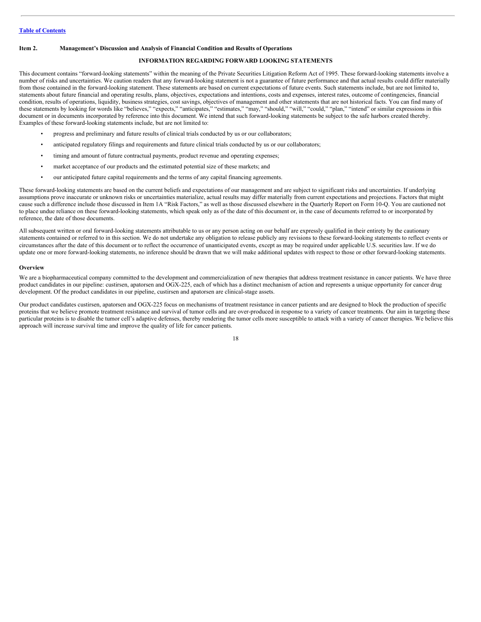# <span id="page-17-0"></span>**Item 2. Management's Discussion and Analysis of Financial Condition and Results of Operations**

# **INFORMATION REGARDING FORWARD LOOKING STATEMENTS**

This document contains "forward-looking statements" within the meaning of the Private Securities Litigation Reform Act of 1995. These forward-looking statements involve a number of risks and uncertainties. We caution readers that any forward-looking statement is not a guarantee of future performance and that actual results could differ materially from those contained in the forward-looking statement. These statements are based on current expectations of future events. Such statements include, but are not limited to, statements about future financial and operating results, plans, objectives, expectations and intentions, costs and expenses, interest rates, outcome of contingencies, financial condition, results of operations, liquidity, business strategies, cost savings, objectives of management and other statements that are not historical facts. You can find many of these statements by looking for words like "believes," "expects," "anticipates," "estimates," "may," "should," "will," "could," "plan," "intend" or similar expressions in this document or in documents incorporated by reference into this document. We intend that such forward-looking statements be subject to the safe harbors created thereby. Examples of these forward-looking statements include, but are not limited to:

- progress and preliminary and future results of clinical trials conducted by us or our collaborators;
- anticipated regulatory filings and requirements and future clinical trials conducted by us or our collaborators;
- timing and amount of future contractual payments, product revenue and operating expenses;
- market acceptance of our products and the estimated potential size of these markets; and
- our anticipated future capital requirements and the terms of any capital financing agreements.

These forward-looking statements are based on the current beliefs and expectations of our management and are subject to significant risks and uncertainties. If underlying assumptions prove inaccurate or unknown risks or uncertainties materialize, actual results may differ materially from current expectations and projections. Factors that might cause such a difference include those discussed in Item 1A "Risk Factors," as well as those discussed elsewhere in the Quarterly Report on Form 10-Q. You are cautioned not to place undue reliance on these forward-looking statements, which speak only as of the date of this document or, in the case of documents referred to or incorporated by reference, the date of those documents.

All subsequent written or oral forward-looking statements attributable to us or any person acting on our behalf are expressly qualified in their entirety by the cautionary statements contained or referred to in this section. We do not undertake any obligation to release publicly any revisions to these forward-looking statements to reflect events or circumstances after the date of this document or to reflect the occurrence of unanticipated events, except as may be required under applicable U.S. securities law. If we do update one or more forward-looking statements, no inference should be drawn that we will make additional updates with respect to those or other forward-looking statements.

#### **Overview**

We are a biopharmaceutical company committed to the development and commercialization of new therapies that address treatment resistance in cancer patients. We have three product candidates in our pipeline: custirsen, apatorsen and OGX-225, each of which has a distinct mechanism of action and represents a unique opportunity for cancer drug development. Of the product candidates in our pipeline, custirsen and apatorsen are clinical-stage assets.

Our product candidates custirsen, apatorsen and OGX-225 focus on mechanisms of treatment resistance in cancer patients and are designed to block the production of specific proteins that we believe promote treatment resistance and survival of tumor cells and are over-produced in response to a variety of cancer treatments. Our aim in targeting these particular proteins is to disable the tumor cell's adaptive defenses, thereby rendering the tumor cells more susceptible to attack with a variety of cancer therapies. We believe this approach will increase survival time and improve the quality of life for cancer patients.

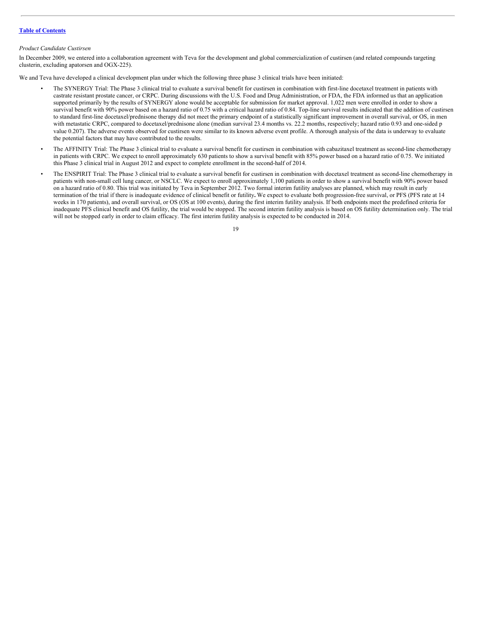# *Product Candidate Custirsen*

In December 2009, we entered into a collaboration agreement with Teva for the development and global commercialization of custirsen (and related compounds targeting clusterin, excluding apatorsen and OGX-225).

We and Teva have developed a clinical development plan under which the following three phase 3 clinical trials have been initiated:

- The SYNERGY Trial: The Phase 3 clinical trial to evaluate a survival benefit for custirsen in combination with first-line docetaxel treatment in patients with castrate resistant prostate cancer, or CRPC. During discussions with the U.S. Food and Drug Administration, or FDA, the FDA informed us that an application supported primarily by the results of SYNERGY alone would be acceptable for submission for market approval. 1,022 men were enrolled in order to show a survival benefit with 90% power based on a hazard ratio of 0.75 with a critical hazard ratio of 0.84. Top-line survival results indicated that the addition of custirsen to standard first-line docetaxel/prednisone therapy did not meet the primary endpoint of a statistically significant improvement in overall survival, or OS, in men with metastatic CRPC, compared to docetaxel/prednisone alone (median survival 23.4 months vs. 22.2 months, respectively; hazard ratio 0.93 and one-sided p value 0.207). The adverse events observed for custirsen were similar to its known adverse event profile. A thorough analysis of the data is underway to evaluate the potential factors that may have contributed to the results.
- The AFFINITY Trial: The Phase 3 clinical trial to evaluate a survival benefit for custirsen in combination with cabazitaxel treatment as second-line chemotherapy in patients with CRPC. We expect to enroll approximately 630 patients to show a survival benefit with 85% power based on a hazard ratio of 0.75. We initiated this Phase 3 clinical trial in August 2012 and expect to complete enrollment in the second-half of 2014.
- The ENSPIRIT Trial: The Phase 3 clinical trial to evaluate a survival benefit for custirsen in combination with docetaxel treatment as second-line chemotherapy in patients with non-small cell lung cancer, or NSCLC. We expect to enroll approximately 1,100 patients in order to show a survival benefit with 90% power based on a hazard ratio of 0.80. This trial was initiated by Teva in September 2012. Two formal interim futility analyses are planned, which may result in early termination of the trial if there is inadequate evidence of clinical benefit or futility**.** We expect to evaluate both progression-free survival, or PFS (PFS rate at 14 weeks in 170 patients), and overall survival, or OS (OS at 100 events), during the first interim futility analysis. If both endpoints meet the predefined criteria for inadequate PFS clinical benefit and OS futility, the trial would be stopped. The second interim futility analysis is based on OS futility determination only. The trial will not be stopped early in order to claim efficacy. The first interim futility analysis is expected to be conducted in 2014.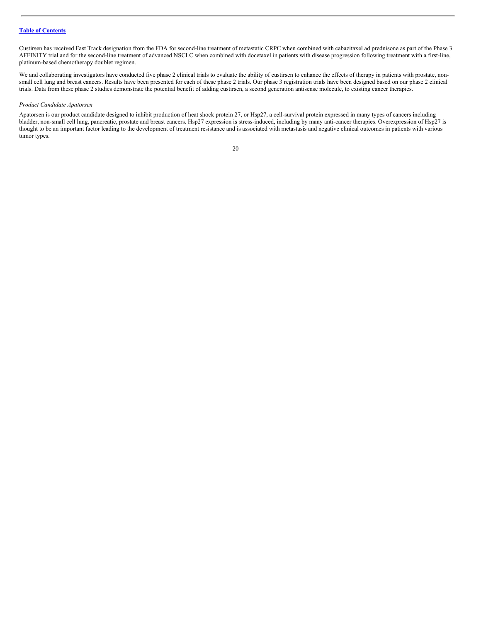Custirsen has received Fast Track designation from the FDA for second-line treatment of metastatic CRPC when combined with cabazitaxel ad prednisone as part of the Phase 3 AFFINITY trial and for the second-line treatment of advanced NSCLC when combined with docetaxel in patients with disease progression following treatment with a first-line, platinum-based chemotherapy doublet regimen.

We and collaborating investigators have conducted five phase 2 clinical trials to evaluate the ability of custirsen to enhance the effects of therapy in patients with prostate, nonsmall cell lung and breast cancers. Results have been presented for each of these phase 2 trials. Our phase 3 registration trials have been designed based on our phase 2 clinical trials. Data from these phase 2 studies demonstrate the potential benefit of adding custirsen, a second generation antisense molecule, to existing cancer therapies.

# *Product Candidate Apatorsen*

Apatorsen is our product candidate designed to inhibit production of heat shock protein 27, or Hsp27, a cell-survival protein expressed in many types of cancers including bladder, non-small cell lung, pancreatic, prostate and breast cancers. Hsp27 expression is stress-induced, including by many anti-cancer therapies. Overexpression of Hsp27 is thought to be an important factor leading to the development of treatment resistance and is associated with metastasis and negative clinical outcomes in patients with various tumor types.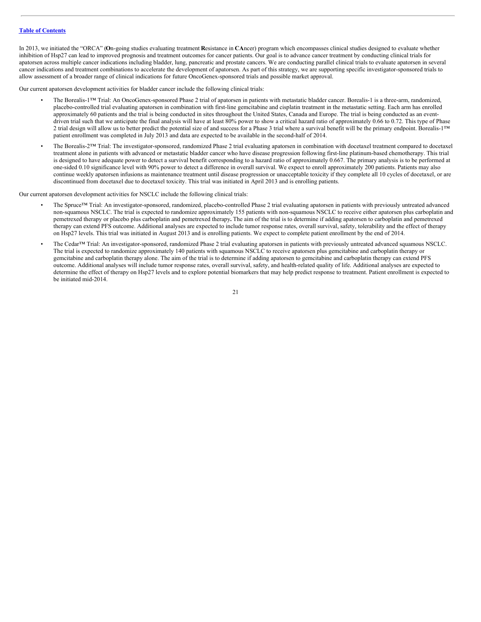In 2013, we initiated the "ORCA" (**O**n-going studies evaluating treatment **R**esistance in **CA**ncer) program which encompasses clinical studies designed to evaluate whether inhibition of Hsp27 can lead to improved prognosis and treatment outcomes for cancer patients. Our goal is to advance cancer treatment by conducting clinical trials for apatorsen across multiple cancer indications including bladder, lung, pancreatic and prostate cancers. We are conducting parallel clinical trials to evaluate apatorsen in several cancer indications and treatment combinations to accelerate the development of apatorsen. As part of this strategy, we are supporting specific investigator-sponsored trials to allow assessment of a broader range of clinical indications for future OncoGenex-sponsored trials and possible market approval.

Our current apatorsen development activities for bladder cancer include the following clinical trials:

- The Borealis-1™ Trial: An OncoGenex-sponsored Phase 2 trial of apatorsen in patients with metastatic bladder cancer. Borealis-1 is a three-arm, randomized, placebo-controlled trial evaluating apatorsen in combination with first-line gemcitabine and cisplatin treatment in the metastatic setting. Each arm has enrolled approximately 60 patients and the trial is being conducted in sites throughout the United States, Canada and Europe. The trial is being conducted as an eventdriven trial such that we anticipate the final analysis will have at least 80% power to show a critical hazard ratio of approximately 0.66 to 0.72. This type of Phase 2 trial design will allow us to better predict the potential size of and success for a Phase 3 trial where a survival benefit will be the primary endpoint. Borealis-1™ patient enrollment was completed in July 2013 and data are expected to be available in the second-half of 2014.
- The Borealis-2™ Trial: The investigator-sponsored, randomized Phase 2 trial evaluating apatorsen in combination with docetaxel treatment compared to docetaxel treatment alone in patients with advanced or metastatic bladder cancer who have disease progression following first-line platinum-based chemotherapy. This trial is designed to have adequate power to detect a survival benefit corresponding to a hazard ratio of approximately 0.667. The primary analysis is to be performed at one-sided 0.10 significance level with 90% power to detect a difference in overall survival. We expect to enroll approximately 200 patients. Patients may also continue weekly apatorsen infusions as maintenance treatment until disease progression or unacceptable toxicity if they complete all 10 cycles of docetaxel, or are discontinued from docetaxel due to docetaxel toxicity. This trial was initiated in April 2013 and is enrolling patients.

Our current apatorsen development activities for NSCLC include the following clinical trials:

- The Spruce™ Trial: An investigator-sponsored, randomized, placebo-controlled Phase 2 trial evaluating apatorsen in patients with previously untreated advanced non-squamous NSCLC. The trial is expected to randomize approximately 155 patients with non-squamous NSCLC to receive either apatorsen plus carboplatin and pemetrexed therapy or placebo plus carboplatin and pemetrexed therapy**.** The aim of the trial is to determine if adding apatorsen to carboplatin and pemetrexed therapy can extend PFS outcome. Additional analyses are expected to include tumor response rates, overall survival, safety, tolerability and the effect of therapy on Hsp27 levels. This trial was initiated in August 2013 and is enrolling patients. We expect to complete patient enrollment by the end of 2014.
- The Cedar™ Trial: An investigator-sponsored, randomized Phase 2 trial evaluating apatorsen in patients with previously untreated advanced squamous NSCLC. The trial is expected to randomize approximately 140 patients with squamous NSCLC to receive apatorsen plus gemcitabine and carboplatin therapy or gemcitabine and carboplatin therapy alone. The aim of the trial is to determine if adding apatorsen to gemcitabine and carboplatin therapy can extend PFS outcome. Additional analyses will include tumor response rates, overall survival, safety, and health-related quality of life. Additional analyses are expected to determine the effect of therapy on Hsp27 levels and to explore potential biomarkers that may help predict response to treatment. Patient enrollment is expected to be initiated mid-2014.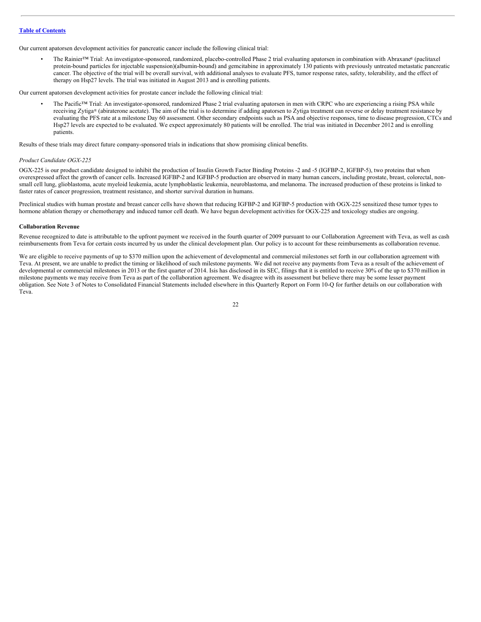Our current apatorsen development activities for pancreatic cancer include the following clinical trial:

• The Rainier™ Trial: An investigator-sponsored, randomized, placebo-controlled Phase 2 trial evaluating apatorsen in combination with Abraxane® (paclitaxel protein-bound particles for injectable suspension)(albumin-bound) and gemcitabine in approximately 130 patients with previously untreated metastatic pancreatic cancer. The objective of the trial will be overall survival, with additional analyses to evaluate PFS, tumor response rates, safety, tolerability, and the effect of therapy on Hsp27 levels. The trial was initiated in August 2013 and is enrolling patients.

Our current apatorsen development activities for prostate cancer include the following clinical trial:

The Pacific™ Trial: An investigator-sponsored, randomized Phase 2 trial evaluating apatorsen in men with CRPC who are experiencing a rising PSA while receiving Zytiga® (abiraterone acetate). The aim of the trial is to determine if adding apatorsen to Zytiga treatment can reverse or delay treatment resistance by evaluating the PFS rate at a milestone Day 60 assessment. Other secondary endpoints such as PSA and objective responses, time to disease progression, CTCs and Hsp27 levels are expected to be evaluated. We expect approximately 80 patients will be enrolled. The trial was initiated in December 2012 and is enrolling patients.

Results of these trials may direct future company-sponsored trials in indications that show promising clinical benefits.

#### *Product Candidate OGX-225*

OGX-225 is our product candidate designed to inhibit the production of Insulin Growth Factor Binding Proteins -2 and -5 (IGFBP-2, IGFBP-5), two proteins that when overexpressed affect the growth of cancer cells. Increased IGFBP-2 and IGFBP-5 production are observed in many human cancers, including prostate, breast, colorectal, nonsmall cell lung, glioblastoma, acute myeloid leukemia, acute lymphoblastic leukemia, neuroblastoma, and melanoma. The increased production of these proteins is linked to faster rates of cancer progression, treatment resistance, and shorter survival duration in humans.

Preclinical studies with human prostate and breast cancer cells have shown that reducing IGFBP-2 and IGFBP-5 production with OGX-225 sensitized these tumor types to hormone ablation therapy or chemotherapy and induced tumor cell death. We have begun development activities for OGX-225 and toxicology studies are ongoing.

#### **Collaboration Revenue**

Revenue recognized to date is attributable to the upfront payment we received in the fourth quarter of 2009 pursuant to our Collaboration Agreement with Teva, as well as cash reimbursements from Teva for certain costs incurred by us under the clinical development plan. Our policy is to account for these reimbursements as collaboration revenue.

We are eligible to receive payments of up to \$370 million upon the achievement of developmental and commercial milestones set forth in our collaboration agreement with Teva. At present, we are unable to predict the timing or likelihood of such milestone payments. We did not receive any payments from Teva as a result of the achievement of developmental or commercial milestones in 2013 or the first quarter of 2014. Isis has disclosed in its SEC, filings that it is entitled to receive 30% of the up to \$370 million in milestone payments we may receive from Teva as part of the collaboration agreement. We disagree with its assessment but believe there may be some lesser payment obligation. See Note 3 of Notes to Consolidated Financial Statements included elsewhere in this Quarterly Report on Form 10-Q for further details on our collaboration with Teva.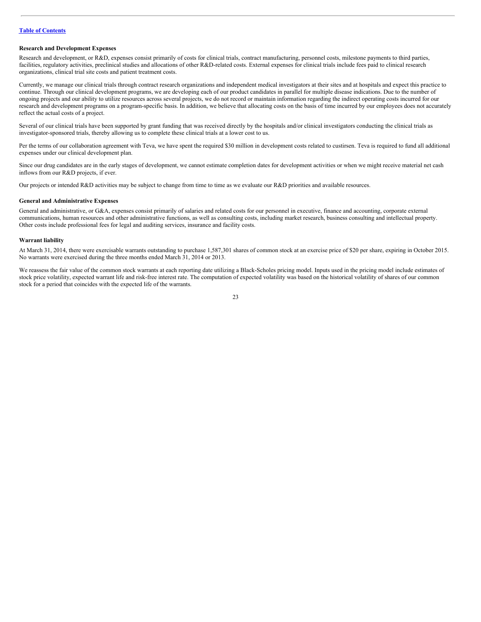#### **Research and Development Expenses**

Research and development, or R&D, expenses consist primarily of costs for clinical trials, contract manufacturing, personnel costs, milestone payments to third parties, facilities, regulatory activities, preclinical studies and allocations of other R&D-related costs. External expenses for clinical trials include fees paid to clinical research organizations, clinical trial site costs and patient treatment costs.

Currently, we manage our clinical trials through contract research organizations and independent medical investigators at their sites and at hospitals and expect this practice to continue. Through our clinical development programs, we are developing each of our product candidates in parallel for multiple disease indications. Due to the number of ongoing projects and our ability to utilize resources across several projects, we do not record or maintain information regarding the indirect operating costs incurred for our research and development programs on a program-specific basis. In addition, we believe that allocating costs on the basis of time incurred by our employees does not accurately reflect the actual costs of a project.

Several of our clinical trials have been supported by grant funding that was received directly by the hospitals and/or clinical investigators conducting the clinical trials as investigator-sponsored trials, thereby allowing us to complete these clinical trials at a lower cost to us.

Per the terms of our collaboration agreement with Teva, we have spent the required \$30 million in development costs related to custirsen. Teva is required to fund all additional expenses under our clinical development plan.

Since our drug candidates are in the early stages of development, we cannot estimate completion dates for development activities or when we might receive material net cash inflows from our R&D projects, if ever.

Our projects or intended R&D activities may be subject to change from time to time as we evaluate our R&D priorities and available resources.

#### **General and Administrative Expenses**

General and administrative, or G&A, expenses consist primarily of salaries and related costs for our personnel in executive, finance and accounting, corporate external communications, human resources and other administrative functions, as well as consulting costs, including market research, business consulting and intellectual property. Other costs include professional fees for legal and auditing services, insurance and facility costs.

# **Warrant liability**

At March 31, 2014, there were exercisable warrants outstanding to purchase 1,587,301 shares of common stock at an exercise price of \$20 per share, expiring in October 2015. No warrants were exercised during the three months ended March 31, 2014 or 2013.

We reassess the fair value of the common stock warrants at each reporting date utilizing a Black-Scholes pricing model. Inputs used in the pricing model include estimates of stock price volatility, expected warrant life and risk-free interest rate. The computation of expected volatility was based on the historical volatility of shares of our common stock for a period that coincides with the expected life of the warrants.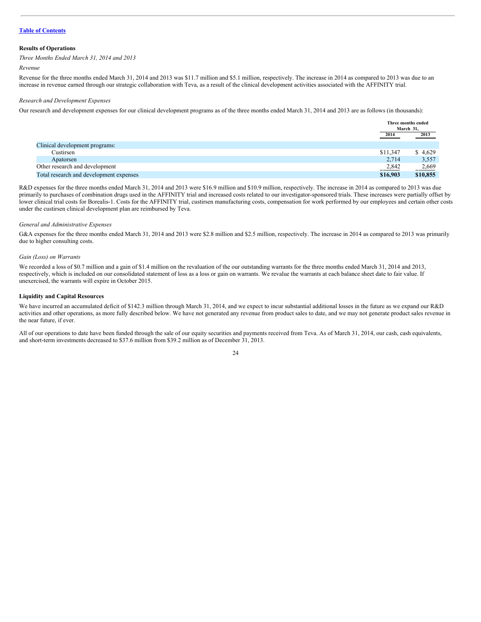#### **Results of Operations**

*Three Months Ended March 31, 2014 and 2013*

# *Revenue*

Revenue for the three months ended March 31, 2014 and 2013 was \$11.7 million and \$5.1 million, respectively. The increase in 2014 as compared to 2013 was due to an increase in revenue earned through our strategic collaboration with Teva, as a result of the clinical development activities associated with the AFFINITY trial.

#### *Research and Development Expenses*

Our research and development expenses for our clinical development programs as of the three months ended March 31, 2014 and 2013 are as follows (in thousands):

|                                         |          | Three months ended<br>March 31, |  |
|-----------------------------------------|----------|---------------------------------|--|
|                                         | 2014     | 2013                            |  |
| Clinical development programs:          |          |                                 |  |
| Custirsen                               | \$11,347 | \$4,629                         |  |
| Apatorsen                               | 2,714    | 3,557                           |  |
| Other research and development          | 2,842    | $-2,669$                        |  |
| Total research and development expenses | \$16,903 | \$10,855                        |  |

R&D expenses for the three months ended March 31, 2014 and 2013 were \$16.9 million and \$10.9 million, respectively. The increase in 2014 as compared to 2013 was due primarily to purchases of combination drugs used in the AFFINITY trial and increased costs related to our investigator-sponsored trials. These increases were partially offset by lower clinical trial costs for Borealis-1. Costs for the AFFINITY trial, custirsen manufacturing costs, compensation for work performed by our employees and certain other costs under the custirsen clinical development plan are reimbursed by Teva.

# *General and Administrative Expenses*

G&A expenses for the three months ended March 31, 2014 and 2013 were \$2.8 million and \$2.5 million, respectively. The increase in 2014 as compared to 2013 was primarily due to higher consulting costs.

#### *Gain (Loss) on Warrants*

We recorded a loss of \$0.7 million and a gain of \$1.4 million on the revaluation of the our outstanding warrants for the three months ended March 31, 2014 and 2013, respectively, which is included on our consolidated statement of loss as a loss or gain on warrants. We revalue the warrants at each balance sheet date to fair value. If unexercised, the warrants will expire in October 2015.

# **Liquidity and Capital Resources**

We have incurred an accumulated deficit of \$142.3 million through March 31, 2014, and we expect to incur substantial additional losses in the future as we expand our R&D activities and other operations, as more fully described below. We have not generated any revenue from product sales to date, and we may not generate product sales revenue in the near future, if ever.

All of our operations to date have been funded through the sale of our equity securities and payments received from Teva. As of March 31, 2014, our cash, cash equivalents, and short-term investments decreased to \$37.6 million from \$39.2 million as of December 31, 2013.

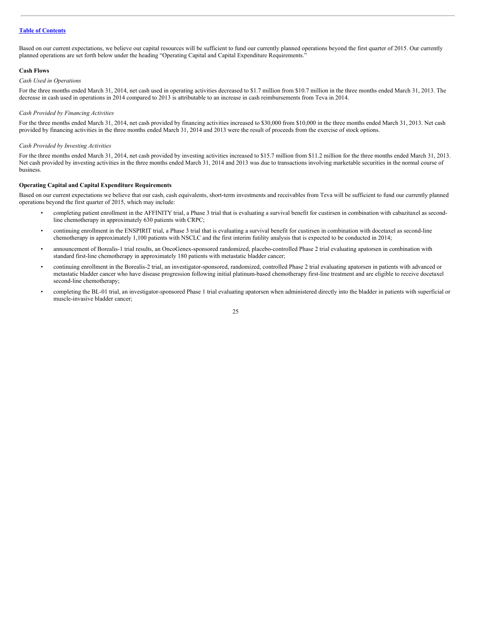Based on our current expectations, we believe our capital resources will be sufficient to fund our currently planned operations beyond the first quarter of 2015. Our currently planned operations are set forth below under the heading "Operating Capital and Capital Expenditure Requirements."

# **Cash Flows**

#### *Cash Used in Operations*

For the three months ended March 31, 2014, net cash used in operating activities decreased to \$1.7 million from \$10.7 million in the three months ended March 31, 2013. The decrease in cash used in operations in 2014 compared to 2013 is attributable to an increase in cash reimbursements from Teva in 2014.

#### *Cash Provided by Financing Activities*

For the three months ended March 31, 2014, net cash provided by financing activities increased to \$30,000 from \$10,000 in the three months ended March 31, 2013. Net cash provided by financing activities in the three months ended March 31, 2014 and 2013 were the result of proceeds from the exercise of stock options.

# *Cash Provided by Investing Activities*

For the three months ended March 31, 2014, net cash provided by investing activities increased to \$15.7 million from \$11.2 million for the three months ended March 31, 2013. Net cash provided by investing activities in the three months ended March 31, 2014 and 2013 was due to transactions involving marketable securities in the normal course of business.

# **Operating Capital and Capital Expenditure Requirements**

Based on our current expectations we believe that our cash, cash equivalents, short-term investments and receivables from Teva will be sufficient to fund our currently planned operations beyond the first quarter of 2015, which may include:

- completing patient enrollment in the AFFINITY trial, a Phase 3 trial that is evaluating a survival benefit for custirsen in combination with cabazitaxel as secondline chemotherapy in approximately 630 patients with CRPC;
- continuing enrollment in the ENSPIRIT trial, a Phase 3 trial that is evaluating a survival benefit for custirsen in combination with docetaxel as second-line chemotherapy in approximately 1,100 patients with NSCLC and the first interim futility analysis that is expected to be conducted in 2014;
- announcement of Borealis-1 trial results, an OncoGenex-sponsored randomized, placebo-controlled Phase 2 trial evaluating apatorsen in combination with standard first-line chemotherapy in approximately 180 patients with metastatic bladder cancer;
- continuing enrollment in the Borealis-2 trial, an investigator-sponsored, randomized, controlled Phase 2 trial evaluating apatorsen in patients with advanced or metastatic bladder cancer who have disease progression following initial platinum-based chemotherapy first-line treatment and are eligible to receive docetaxel second-line chemotherany:
- completing the BL-01 trial, an investigator-sponsored Phase 1 trial evaluating apatorsen when administered directly into the bladder in patients with superficial or muscle-invasive bladder cancer;

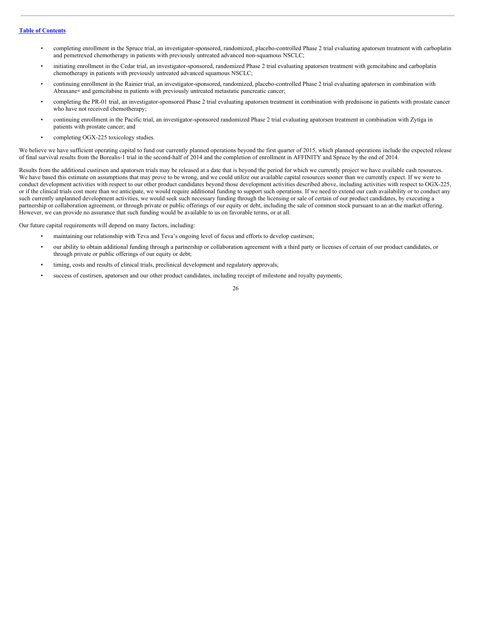- completing enrollment in the Spruce trial, an investigator-sponsored, randomized, placebo-controlled Phase 2 trial evaluating apatorsen treatment with carboplatin and pemetrexed chemotherapy in patients with previously untreated advanced non-squamous NSCLC;
- initiating enrollment in the Cedar trial, an investigator-sponsored, randomized Phase 2 trial evaluating apatorsen treatment with gemcitabine and carboplatin chemotherapy in patients with previously untreated advanced squamous NSCLC;
- continuing enrollment in the Rainier trial, an investigator-sponsored, randomized, placebo-controlled Phase 2 trial evaluating apatorsen in combination with Abraxane® and gemcitabine in patients with previously untreated metastatic pancreatic cancer;
- completing the PR-01 trial, an investigator-sponsored Phase 2 trial evaluating apatorsen treatment in combination with prednisone in patients with prostate cancer who have not received chemotherapy;
- continuing enrollment in the Pacific trial, an investigator-sponsored randomized Phase 2 trial evaluating apatorsen treatment in combination with Zytiga in patients with prostate cancer; and
- completing OGX-225 toxicology studies.

We believe we have sufficient operating capital to fund our currently planned operations beyond the first quarter of 2015, which planned operations include the expected release of final survival results from the Borealis-1 trial in the second-half of 2014 and the completion of enrollment in AFFINITY and Spruce by the end of 2014.

Results from the additional custirsen and apatorsen trials may be released at a date that is beyond the period for which we currently project we have available cash resources. We have based this estimate on assumptions that may prove to be wrong, and we could utilize our available capital resources sooner than we currently expect. If we were to conduct development activities with respect to our other product candidates beyond those development activities described above, including activities with respect to OGX-225, or if the clinical trials cost more than we anticipate, we would require additional funding to support such operations. If we need to extend our cash availability or to conduct any such currently unplanned development activities, we would seek such necessary funding through the licensing or sale of certain of our product candidates, by executing a partnership or collaboration agreement, or through private or public offerings of our equity or debt, including the sale of common stock pursuant to an at-the market offering. However, we can provide no assurance that such funding would be available to us on favorable terms, or at all.

Our future capital requirements will depend on many factors, including:

- maintaining our relationship with Teva and Teva's ongoing level of focus and efforts to develop custirsen;
- our ability to obtain additional funding through a partnership or collaboration agreement with a third party or licenses of certain of our product candidates, or through private or public offerings of our equity or debt;
- timing, costs and results of clinical trials, preclinical development and regulatory approvals;
- success of custirsen, apatorsen and our other product candidates, including receipt of milestone and royalty payments;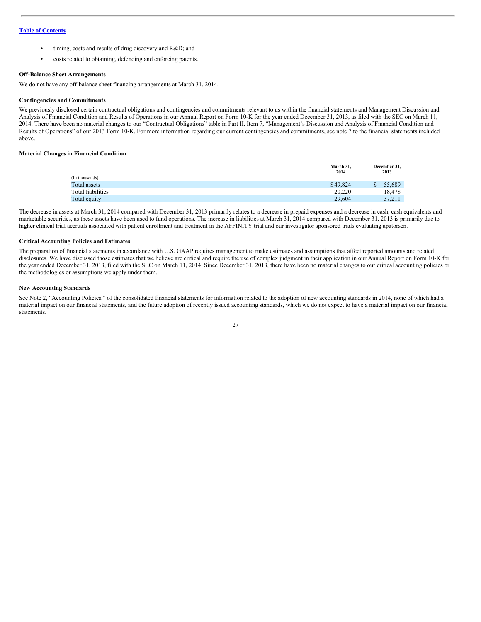- timing, costs and results of drug discovery and R&D; and
- costs related to obtaining, defending and enforcing patents.

# **Off-Balance Sheet Arrangements**

We do not have any off-balance sheet financing arrangements at March 31, 2014.

# **Contingencies and Commitments**

We previously disclosed certain contractual obligations and contingencies and commitments relevant to us within the financial statements and Management Discussion and Analysis of Financial Condition and Results of Operations in our Annual Report on Form 10-K for the year ended December 31, 2013, as filed with the SEC on March 11, 2014. There have been no material changes to our "Contractual Obligations" table in Part II, Item 7, "Management's Discussion and Analysis of Financial Condition and Results of Operations" of our 2013 Form 10-K. For more information regarding our current contingencies and commitments, see note 7 to the financial statements included above.

# **Material Changes in Financial Condition**

|                   | March 31.<br>2014 | December 31,<br>2013 |
|-------------------|-------------------|----------------------|
| (In thousands)    |                   |                      |
| Total assets      | \$49,824          | 55,689               |
| Total liabilities | 20,220            | 18.478               |
| Total equity      | 29,604            | 37.211               |

The decrease in assets at March 31, 2014 compared with December 31, 2013 primarily relates to a decrease in prepaid expenses and a decrease in cash, cash equivalents and marketable securities, as these assets have been used to fund operations. The increase in liabilities at March 31, 2014 compared with December 31, 2013 is primarily due to higher clinical trial accruals associated with patient enrollment and treatment in the AFFINITY trial and our investigator sponsored trials evaluating apatorsen.

# **Critical Accounting Policies and Estimates**

The preparation of financial statements in accordance with U.S. GAAP requires management to make estimates and assumptions that affect reported amounts and related disclosures. We have discussed those estimates that we believe are critical and require the use of complex judgment in their application in our Annual Report on Form 10-K for the year ended December 31, 2013, filed with the SEC on March 11, 2014. Since December 31, 2013, there have been no material changes to our critical accounting policies or the methodologies or assumptions we apply under them.

#### **New Accounting Standards**

See Note 2, "Accounting Policies," of the consolidated financial statements for information related to the adoption of new accounting standards in 2014, none of which had a material impact on our financial statements, and the future adoption of recently issued accounting standards, which we do not expect to have a material impact on our financial statements.

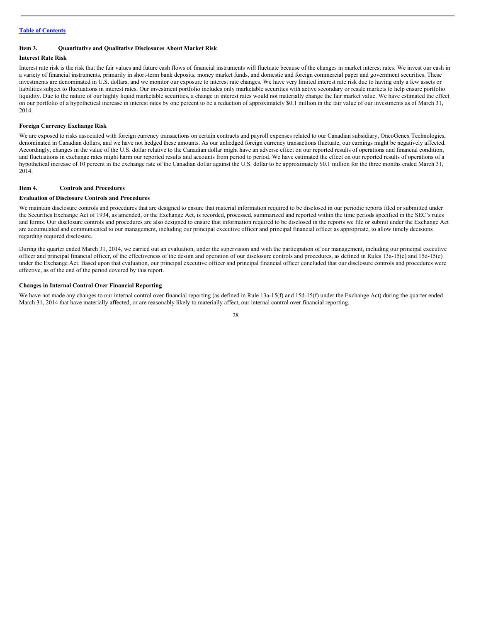# <span id="page-27-0"></span>**Item 3. Quantitative and Qualitative Disclosures About Market Risk**

#### **Interest Rate Risk**

Interest rate risk is the risk that the fair values and future cash flows of financial instruments will fluctuate because of the changes in market interest rates. We invest our cash in a variety of financial instruments, primarily in short-term bank deposits, money market funds, and domestic and foreign commercial paper and government securities. These investments are denominated in U.S. dollars, and we monitor our exposure to interest rate changes. We have very limited interest rate risk due to having only a few assets or liabilities subject to fluctuations in interest rates. Our investment portfolio includes only marketable securities with active secondary or resale markets to help ensure portfolio liquidity. Due to the nature of our highly liquid marketable securities, a change in interest rates would not materially change the fair market value. We have estimated the effect on our portfolio of a hypothetical increase in interest rates by one percent to be a reduction of approximately \$0.1 million in the fair value of our investments as of March 31, 2014.

#### **Foreign Currency Exchange Risk**

We are exposed to risks associated with foreign currency transactions on certain contracts and payroll expenses related to our Canadian subsidiary, OncoGenex Technologies, denominated in Canadian dollars, and we have not hedged these amounts. As our unhedged foreign currency transactions fluctuate, our earnings might be negatively affected. Accordingly, changes in the value of the U.S. dollar relative to the Canadian dollar might have an adverse effect on our reported results of operations and financial condition, and fluctuations in exchange rates might harm our reported results and accounts from period to period. We have estimated the effect on our reported results of operations of a hypothetical increase of 10 percent in the exchange rate of the Canadian dollar against the U.S. dollar to be approximately \$0.1 million for the three months ended March 31, 2014.

#### <span id="page-27-1"></span>**Item 4. Controls and Procedures**

#### **Evaluation of Disclosure Controls and Procedures**

We maintain disclosure controls and procedures that are designed to ensure that material information required to be disclosed in our periodic reports filed or submitted under the Securities Exchange Act of 1934, as amended, or the Exchange Act, is recorded, processed, summarized and reported within the time periods specified in the SEC's rules and forms. Our disclosure controls and procedures are also designed to ensure that information required to be disclosed in the reports we file or submit under the Exchange Act are accumulated and communicated to our management, including our principal executive officer and principal financial officer as appropriate, to allow timely decisions regarding required disclosure.

During the quarter ended March 31, 2014, we carried out an evaluation, under the supervision and with the participation of our management, including our principal executive officer and principal financial officer, of the effectiveness of the design and operation of our disclosure controls and procedures, as defined in Rules 13a-15(e) and 15d-15(e) under the Exchange Act. Based upon that evaluation, our principal executive officer and principal financial officer concluded that our disclosure controls and procedures were effective, as of the end of the period covered by this report.

#### **Changes in Internal Control Over Financial Reporting**

We have not made any changes to our internal control over financial reporting (as defined in Rule 13a-15(f) and 15d-15(f) under the Exchange Act) during the quarter ended March 31, 2014 that have materially affected, or are reasonably likely to materially affect, our internal control over financial reporting.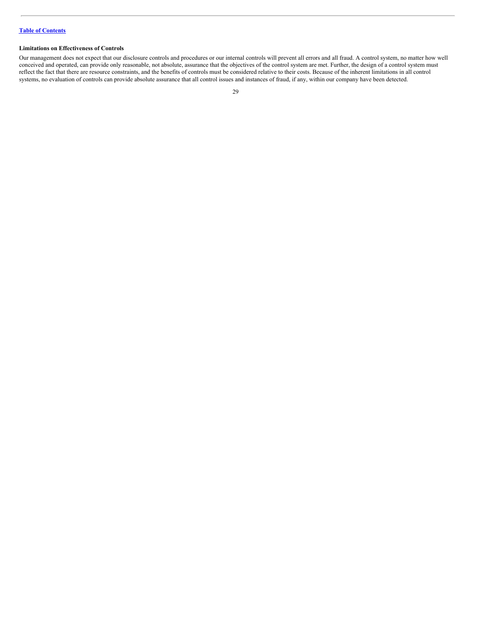# **Limitations on Effectiveness of Controls**

Our management does not expect that our disclosure controls and procedures or our internal controls will prevent all errors and all fraud. A control system, no matter how well conceived and operated, can provide only reasonable, not absolute, assurance that the objectives of the control system are met. Further, the design of a control system must reflect the fact that there are resource constraints, and the benefits of controls must be considered relative to their costs. Because of the inherent limitations in all control systems, no evaluation of controls can provide absolute assurance that all control issues and instances of fraud, if any, within our company have been detected.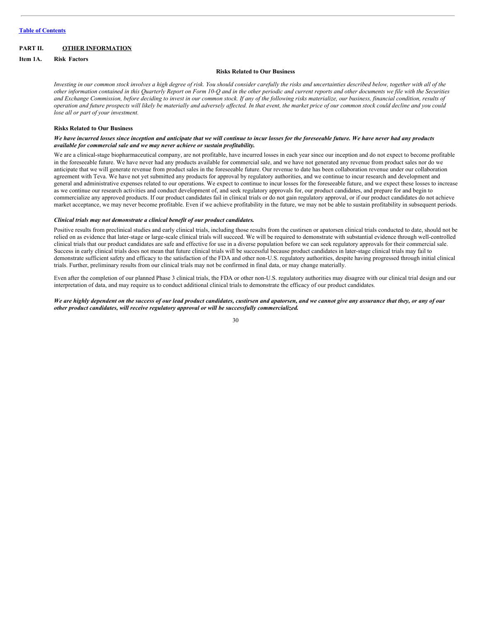# **PART II. OTHER INFORMATION**

# **Item 1A. Risk Factors**

#### **Risks Related to Our Business**

<span id="page-29-1"></span><span id="page-29-0"></span>Investing in our common stock involves a high degree of risk. You should consider carefully the risks and uncertainties described below, together with all of the other information contained in this Quarterly Report on Form 10-Q and in the other periodic and current reports and other documents we file with the Securities and Exchange Commission, before deciding to invest in our common stock. If any of the following risks materialize, our business, financial condition, results of operation and future prospects will likely be materially and adversely affected. In that event, the market price of our common stock could decline and you could *lose all or part of your investment.*

#### **Risks Related to Our Business**

## We have incurred losses since inception and anticipate that we will continue to incur losses for the foreseeable future. We have never had any products *available for commercial sale and we may never achieve or sustain profitability.*

We are a clinical-stage biopharmaceutical company, are not profitable, have incurred losses in each year since our inception and do not expect to become profitable in the foreseeable future. We have never had any products available for commercial sale, and we have not generated any revenue from product sales nor do we anticipate that we will generate revenue from product sales in the foreseeable future. Our revenue to date has been collaboration revenue under our collaboration agreement with Teva. We have not yet submitted any products for approval by regulatory authorities, and we continue to incur research and development and general and administrative expenses related to our operations. We expect to continue to incur losses for the foreseeable future, and we expect these losses to increase as we continue our research activities and conduct development of, and seek regulatory approvals for, our product candidates, and prepare for and begin to commercialize any approved products. If our product candidates fail in clinical trials or do not gain regulatory approval, or if our product candidates do not achieve market acceptance, we may never become profitable. Even if we achieve profitability in the future, we may not be able to sustain profitability in subsequent periods.

#### *Clinical trials may not demonstrate a clinical benefit of our product candidates.*

Positive results from preclinical studies and early clinical trials, including those results from the custirsen or apatorsen clinical trials conducted to date, should not be relied on as evidence that later-stage or large-scale clinical trials will succeed. We will be required to demonstrate with substantial evidence through well-controlled clinical trials that our product candidates are safe and effective for use in a diverse population before we can seek regulatory approvals for their commercial sale. Success in early clinical trials does not mean that future clinical trials will be successful because product candidates in later-stage clinical trials may fail to demonstrate sufficient safety and efficacy to the satisfaction of the FDA and other non-U.S. regulatory authorities, despite having progressed through initial clinical trials. Further, preliminary results from our clinical trials may not be confirmed in final data, or may change materially.

Even after the completion of our planned Phase 3 clinical trials, the FDA or other non-U.S. regulatory authorities may disagree with our clinical trial design and our interpretation of data, and may require us to conduct additional clinical trials to demonstrate the efficacy of our product candidates.

# We are highly dependent on the success of our lead product candidates, custirsen and apatorsen, and we cannot give any assurance that they, or any of our *other product candidates, will receive regulatory approval or will be successfully commercialized.*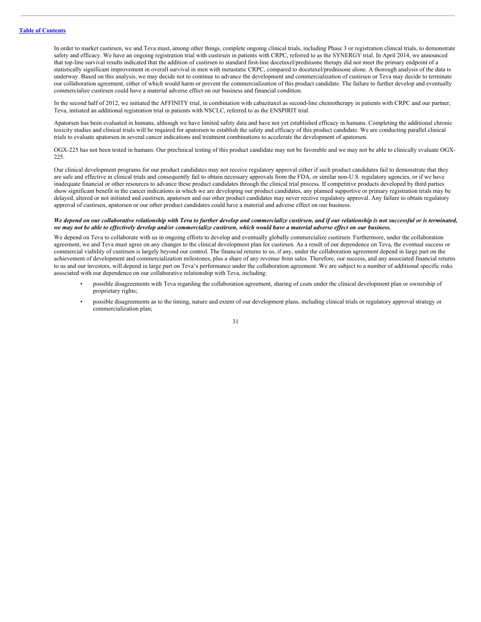In order to market custirsen, we and Teva must, among other things, complete ongoing clinical trials, including Phase 3 or registration clinical trials, to demonstrate safety and efficacy. We have an ongoing registration trial with custirsen in patients with CRPC, referred to as the SYNERGY trial. In April 2014, we announced that top-line survival results indicated that the addition of custirsen to standard first-line docetaxel/prednisone therapy did not meet the primary endpoint of a statistically significant improvement in overall survival in men with metastatic CRPC, compared to docetaxel/prednisone alone. A thorough analysis of the data is underway. Based on this analysis, we may decide not to continue to advance the development and commercialization of custirsen or Teva may decide to terminate our collaboration agreement, either of which would harm or prevent the commercialization of this product candidate. The failure to further develop and eventually commercialize custirsen could have a material adverse effect on our business and financial condition.

In the second half of 2012, we initiated the AFFINITY trial, in combination with cabazitaxel as second-line chemotherapy in patients with CRPC and our partner, Teva, initiated an additional registration trial in patients with NSCLC, referred to as the ENSPIRIT trial.

Apatorsen has been evaluated in humans, although we have limited safety data and have not yet established efficacy in humans. Completing the additional chronic toxicity studies and clinical trials will be required for apatorsen to establish the safety and efficacy of this product candidate. We are conducting parallel clinical trials to evaluate apatorsen in several cancer indications and treatment combinations to accelerate the development of apatorsen.

OGX-225 has not been tested in humans. Our preclinical testing of this product candidate may not be favorable and we may not be able to clinically evaluate OGX-225.

Our clinical development programs for our product candidates may not receive regulatory approval either if such product candidates fail to demonstrate that they are safe and effective in clinical trials and consequently fail to obtain necessary approvals from the FDA, or similar non-U.S. regulatory agencies, or if we have inadequate financial or other resources to advance these product candidates through the clinical trial process. If competitive products developed by third parties show significant benefit in the cancer indications in which we are developing our product candidates, any planned supportive or primary registration trials may be delayed, altered or not initiated and custirsen, apatorsen and our other product candidates may never receive regulatory approval. Any failure to obtain regulatory approval of custirsen, apatorsen or our other product candidates could have a material and adverse effect on our business.

#### We depend on our collaborative relationship with Teva to further develop and commercialize custirsen, and if our relationship is not successful or is terminated, we may not be able to effectively develop and/or commercialize custirsen, which would have a material adverse effect on our business.

We depend on Teva to collaborate with us in ongoing efforts to develop and eventually globally commercialize custirsen. Furthermore, under the collaboration agreement, we and Teva must agree on any changes to the clinical development plan for custirsen. As a result of our dependence on Teva, the eventual success or commercial viability of custirsen is largely beyond our control. The financial returns to us, if any, under the collaboration agreement depend in large part on the achievement of development and commercialization milestones, plus a share of any revenue from sales. Therefore, our success, and any associated financial returns to us and our investors, will depend in large part on Teva's performance under the collaboration agreement. We are subject to a number of additional specific risks associated with our dependence on our collaborative relationship with Teva, including:

- possible disagreements with Teva regarding the collaboration agreement, sharing of costs under the clinical development plan or ownership of proprietary rights;
- possible disagreements as to the timing, nature and extent of our development plans, including clinical trials or regulatory approval strategy or commercialization plan;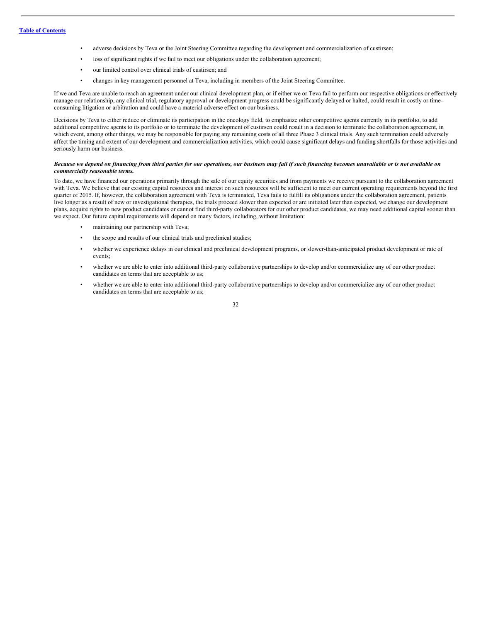- adverse decisions by Teva or the Joint Steering Committee regarding the development and commercialization of custirsen;
- loss of significant rights if we fail to meet our obligations under the collaboration agreement;
- our limited control over clinical trials of custirsen; and
- changes in key management personnel at Teva, including in members of the Joint Steering Committee.

If we and Teva are unable to reach an agreement under our clinical development plan, or if either we or Teva fail to perform our respective obligations or effectively manage our relationship, any clinical trial, regulatory approval or development progress could be significantly delayed or halted, could result in costly or timeconsuming litigation or arbitration and could have a material adverse effect on our business.

Decisions by Teva to either reduce or eliminate its participation in the oncology field, to emphasize other competitive agents currently in its portfolio, to add additional competitive agents to its portfolio or to terminate the development of custirsen could result in a decision to terminate the collaboration agreement, in which event, among other things, we may be responsible for paying any remaining costs of all three Phase 3 clinical trials. Any such termination could adversely affect the timing and extent of our development and commercialization activities, which could cause significant delays and funding shortfalls for those activities and seriously harm our business.

# Because we depend on financing from third parties for our operations, our business may fail if such financing becomes unavailable or is not available on *commercially reasonable terms.*

To date, we have financed our operations primarily through the sale of our equity securities and from payments we receive pursuant to the collaboration agreement with Teva. We believe that our existing capital resources and interest on such resources will be sufficient to meet our current operating requirements beyond the first quarter of 2015. If, however, the collaboration agreement with Teva is terminated, Teva fails to fulfill its obligations under the collaboration agreement, patients live longer as a result of new or investigational therapies, the trials proceed slower than expected or are initiated later than expected, we change our development plans, acquire rights to new product candidates or cannot find third-party collaborators for our other product candidates, we may need additional capital sooner than we expect. Our future capital requirements will depend on many factors, including, without limitation:

- maintaining our partnership with Teva;
- the scope and results of our clinical trials and preclinical studies;
- whether we experience delays in our clinical and preclinical development programs, or slower-than-anticipated product development or rate of events;
- whether we are able to enter into additional third-party collaborative partnerships to develop and/or commercialize any of our other product candidates on terms that are acceptable to us;
- whether we are able to enter into additional third-party collaborative partnerships to develop and/or commercialize any of our other product candidates on terms that are acceptable to us;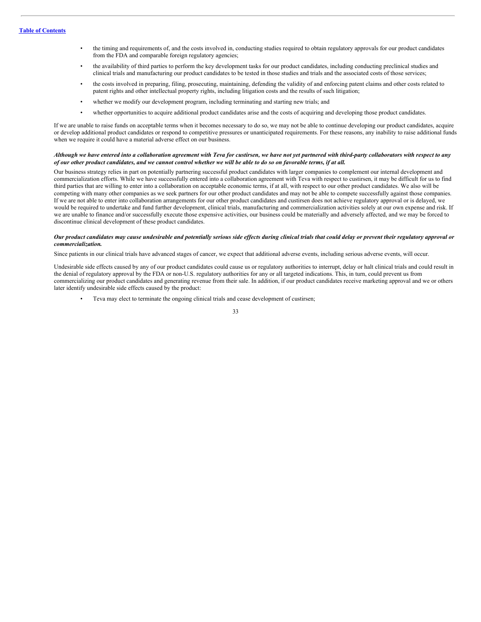- the timing and requirements of, and the costs involved in, conducting studies required to obtain regulatory approvals for our product candidates from the FDA and comparable foreign regulatory agencies;
- the availability of third parties to perform the key development tasks for our product candidates, including conducting preclinical studies and clinical trials and manufacturing our product candidates to be tested in those studies and trials and the associated costs of those services;
- the costs involved in preparing, filing, prosecuting, maintaining, defending the validity of and enforcing patent claims and other costs related to patent rights and other intellectual property rights, including litigation costs and the results of such litigation;
- whether we modify our development program, including terminating and starting new trials; and
- whether opportunities to acquire additional product candidates arise and the costs of acquiring and developing those product candidates.

If we are unable to raise funds on acceptable terms when it becomes necessary to do so, we may not be able to continue developing our product candidates, acquire or develop additional product candidates or respond to competitive pressures or unanticipated requirements. For these reasons, any inability to raise additional funds when we require it could have a material adverse effect on our business.

# Although we have entered into a collaboration agreement with Teva for custirsen, we have not yet partnered with third-party collaborators with respect to any of our other product candidates, and we cannot control whether we will be able to do so on favorable terms, if at all.

Our business strategy relies in part on potentially partnering successful product candidates with larger companies to complement our internal development and commercialization efforts. While we have successfully entered into a collaboration agreement with Teva with respect to custirsen, it may be difficult for us to find third parties that are willing to enter into a collaboration on acceptable economic terms, if at all, with respect to our other product candidates. We also will be competing with many other companies as we seek partners for our other product candidates and may not be able to compete successfully against those companies. If we are not able to enter into collaboration arrangements for our other product candidates and custirsen does not achieve regulatory approval or is delayed, we would be required to undertake and fund further development, clinical trials, manufacturing and commercialization activities solely at our own expense and risk. If we are unable to finance and/or successfully execute those expensive activities, our business could be materially and adversely affected, and we may be forced to discontinue clinical development of these product candidates.

# Our product candidates may cause undesirable and potentially serious side effects during clinical trials that could delay or prevent their regulatory approval or *commercialization.*

Since patients in our clinical trials have advanced stages of cancer, we expect that additional adverse events, including serious adverse events, will occur.

Undesirable side effects caused by any of our product candidates could cause us or regulatory authorities to interrupt, delay or halt clinical trials and could result in the denial of regulatory approval by the FDA or non-U.S. regulatory authorities for any or all targeted indications. This, in turn, could prevent us from commercializing our product candidates and generating revenue from their sale. In addition, if our product candidates receive marketing approval and we or others later identify undesirable side effects caused by the product:

Teva may elect to terminate the ongoing clinical trials and cease development of custirsen;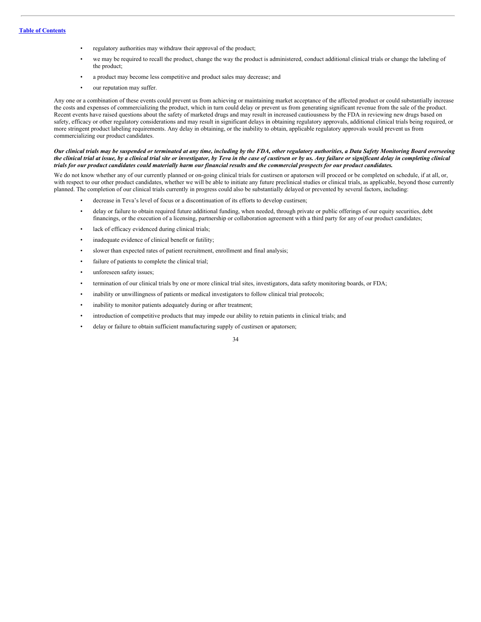- regulatory authorities may withdraw their approval of the product;
- we may be required to recall the product, change the way the product is administered, conduct additional clinical trials or change the labeling of the product;
- a product may become less competitive and product sales may decrease; and
- our reputation may suffer.

Any one or a combination of these events could prevent us from achieving or maintaining market acceptance of the affected product or could substantially increase the costs and expenses of commercializing the product, which in turn could delay or prevent us from generating significant revenue from the sale of the product. Recent events have raised questions about the safety of marketed drugs and may result in increased cautiousness by the FDA in reviewing new drugs based on safety, efficacy or other regulatory considerations and may result in significant delays in obtaining regulatory approvals, additional clinical trials being required, or more stringent product labeling requirements. Any delay in obtaining, or the inability to obtain, applicable regulatory approvals would prevent us from commercializing our product candidates.

# Our clinical trials may be suspended or terminated at any time, including by the FDA, other regulatory authorities, a Data Safety Monitoring Board overseeing the clinical trial at issue, by a clinical trial site or investigator, by Teva in the case of custirsen or by us. Any failure or significant delay in completing clinical trials for our product candidates could materially harm our financial results and the commercial prospects for our product candidates.

We do not know whether any of our currently planned or on-going clinical trials for custirsen or apatorsen will proceed or be completed on schedule, if at all, or, with respect to our other product candidates, whether we will be able to initiate any future preclinical studies or clinical trials, as applicable, beyond those currently planned. The completion of our clinical trials currently in progress could also be substantially delayed or prevented by several factors, including:

- decrease in Teva's level of focus or a discontinuation of its efforts to develop custirsen;
- delay or failure to obtain required future additional funding, when needed, through private or public offerings of our equity securities, debt financings, or the execution of a licensing, partnership or collaboration agreement with a third party for any of our product candidates;
- lack of efficacy evidenced during clinical trials;
- inadequate evidence of clinical benefit or futility;
- slower than expected rates of patient recruitment, enrollment and final analysis;
- failure of patients to complete the clinical trial;
- unforeseen safety issues;
- termination of our clinical trials by one or more clinical trial sites, investigators, data safety monitoring boards, or FDA;
- inability or unwillingness of patients or medical investigators to follow clinical trial protocols;
- inability to monitor patients adequately during or after treatment;
- introduction of competitive products that may impede our ability to retain patients in clinical trials; and
- delay or failure to obtain sufficient manufacturing supply of custirsen or apatorsen;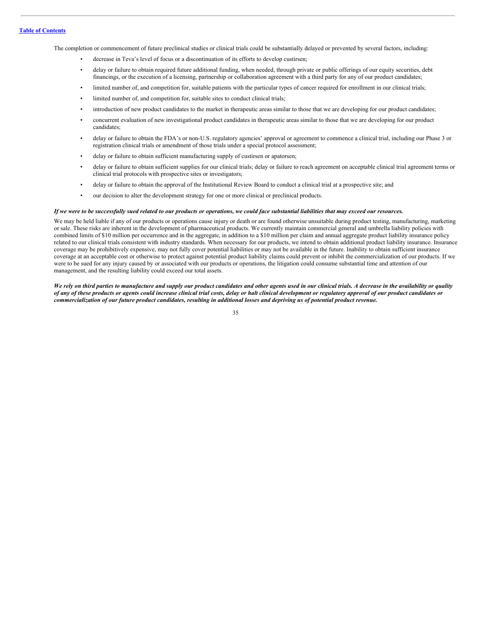The completion or commencement of future preclinical studies or clinical trials could be substantially delayed or prevented by several factors, including:

- decrease in Teva's level of focus or a discontinuation of its efforts to develop custirsen;
- delay or failure to obtain required future additional funding, when needed, through private or public offerings of our equity securities, debt financings, or the execution of a licensing, partnership or collaboration agreement with a third party for any of our product candidates;
- limited number of, and competition for, suitable patients with the particular types of cancer required for enrollment in our clinical trials;
- limited number of, and competition for, suitable sites to conduct clinical trials;
- introduction of new product candidates to the market in therapeutic areas similar to those that we are developing for our product candidates;
- concurrent evaluation of new investigational product candidates in therapeutic areas similar to those that we are developing for our product candidates;
- delay or failure to obtain the FDA's or non-U.S. regulatory agencies' approval or agreement to commence a clinical trial, including our Phase 3 or registration clinical trials or amendment of those trials under a special protocol assessment;
- delay or failure to obtain sufficient manufacturing supply of custirsen or apatorsen;
- delay or failure to obtain sufficient supplies for our clinical trials; delay or failure to reach agreement on acceptable clinical trial agreement terms or clinical trial protocols with prospective sites or investigators;
- delay or failure to obtain the approval of the Institutional Review Board to conduct a clinical trial at a prospective site; and
- our decision to alter the development strategy for one or more clinical or preclinical products.

# If we were to be successfully sued related to our products or operations, we could face substantial liabilities that may exceed our resources.

We may be held liable if any of our products or operations cause injury or death or are found otherwise unsuitable during product testing, manufacturing, marketing or sale. These risks are inherent in the development of pharmaceutical products. We currently maintain commercial general and umbrella liability policies with combined limits of \$10 million per occurrence and in the aggregate, in addition to a \$10 million per claim and annual aggregate product liability insurance policy related to our clinical trials consistent with industry standards. When necessary for our products, we intend to obtain additional product liability insurance. Insurance coverage may be prohibitively expensive, may not fully cover potential liabilities or may not be available in the future. Inability to obtain sufficient insurance coverage at an acceptable cost or otherwise to protect against potential product liability claims could prevent or inhibit the commercialization of our products. If we were to be sued for any injury caused by or associated with our products or operations, the litigation could consume substantial time and attention of our management, and the resulting liability could exceed our total assets.

We rely on third parties to manufacture and supply our product candidates and other agents used in our clinical trials. A decrease in the availability or quality of any of these products or agents could increase clinical trial costs, delay or halt clinical development or regulatory approval of our product candidates or commercialization of our future product candidates, resulting in additional losses and depriving us of potential product revenue.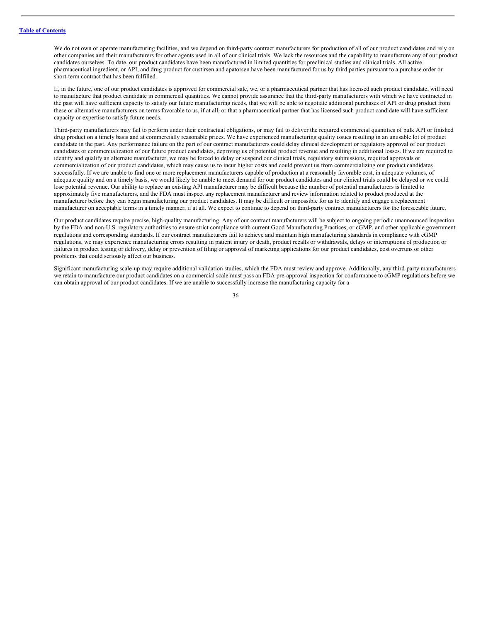We do not own or operate manufacturing facilities, and we depend on third-party contract manufacturers for production of all of our product candidates and rely on other companies and their manufacturers for other agents used in all of our clinical trials. We lack the resources and the capability to manufacture any of our product candidates ourselves. To date, our product candidates have been manufactured in limited quantities for preclinical studies and clinical trials. All active pharmaceutical ingredient, or API, and drug product for custirsen and apatorsen have been manufactured for us by third parties pursuant to a purchase order or short-term contract that has been fulfilled.

If, in the future, one of our product candidates is approved for commercial sale, we, or a pharmaceutical partner that has licensed such product candidate, will need to manufacture that product candidate in commercial quantities. We cannot provide assurance that the third-party manufacturers with which we have contracted in the past will have sufficient capacity to satisfy our future manufacturing needs, that we will be able to negotiate additional purchases of API or drug product from these or alternative manufacturers on terms favorable to us, if at all, or that a pharmaceutical partner that has licensed such product candidate will have sufficient capacity or expertise to satisfy future needs.

Third-party manufacturers may fail to perform under their contractual obligations, or may fail to deliver the required commercial quantities of bulk API or finished drug product on a timely basis and at commercially reasonable prices. We have experienced manufacturing quality issues resulting in an unusable lot of product candidate in the past. Any performance failure on the part of our contract manufacturers could delay clinical development or regulatory approval of our product candidates or commercialization of our future product candidates, depriving us of potential product revenue and resulting in additional losses. If we are required to identify and qualify an alternate manufacturer, we may be forced to delay or suspend our clinical trials, regulatory submissions, required approvals or commercialization of our product candidates, which may cause us to incur higher costs and could prevent us from commercializing our product candidates successfully. If we are unable to find one or more replacement manufacturers capable of production at a reasonably favorable cost, in adequate volumes, of adequate quality and on a timely basis, we would likely be unable to meet demand for our product candidates and our clinical trials could be delayed or we could lose potential revenue. Our ability to replace an existing API manufacturer may be difficult because the number of potential manufacturers is limited to approximately five manufacturers, and the FDA must inspect any replacement manufacturer and review information related to product produced at the manufacturer before they can begin manufacturing our product candidates. It may be difficult or impossible for us to identify and engage a replacement manufacturer on acceptable terms in a timely manner, if at all. We expect to continue to depend on third-party contract manufacturers for the foreseeable future.

Our product candidates require precise, high-quality manufacturing. Any of our contract manufacturers will be subject to ongoing periodic unannounced inspection by the FDA and non-U.S. regulatory authorities to ensure strict compliance with current Good Manufacturing Practices, or cGMP, and other applicable government regulations and corresponding standards. If our contract manufacturers fail to achieve and maintain high manufacturing standards in compliance with cGMP regulations, we may experience manufacturing errors resulting in patient injury or death, product recalls or withdrawals, delays or interruptions of production or failures in product testing or delivery, delay or prevention of filing or approval of marketing applications for our product candidates, cost overruns or other problems that could seriously affect our business.

Significant manufacturing scale-up may require additional validation studies, which the FDA must review and approve. Additionally, any third-party manufacturers we retain to manufacture our product candidates on a commercial scale must pass an FDA pre-approval inspection for conformance to cGMP regulations before we can obtain approval of our product candidates. If we are unable to successfully increase the manufacturing capacity for a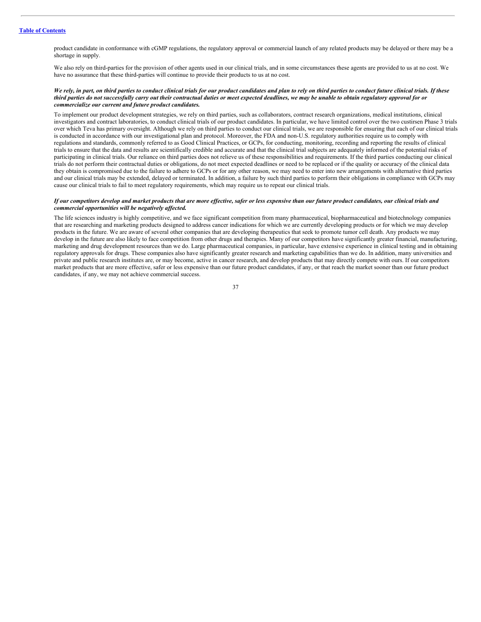product candidate in conformance with cGMP regulations, the regulatory approval or commercial launch of any related products may be delayed or there may be a shortage in supply.

We also rely on third-parties for the provision of other agents used in our clinical trials, and in some circumstances these agents are provided to us at no cost. We have no assurance that these third-parties will continue to provide their products to us at no cost.

#### We rely, in part, on third parties to conduct clinical trials for our product candidates and plan to rely on third parties to conduct future clinical trials. If these third parties do not successfully carry out their contractual duties or meet expected deadlines, we may be unable to obtain regulatory approval for or *commercialize our current and future product candidates.*

To implement our product development strategies, we rely on third parties, such as collaborators, contract research organizations, medical institutions, clinical investigators and contract laboratories, to conduct clinical trials of our product candidates. In particular, we have limited control over the two custirsen Phase 3 trials over which Teva has primary oversight. Although we rely on third parties to conduct our clinical trials, we are responsible for ensuring that each of our clinical trials is conducted in accordance with our investigational plan and protocol. Moreover, the FDA and non-U.S. regulatory authorities require us to comply with regulations and standards, commonly referred to as Good Clinical Practices, or GCPs, for conducting, monitoring, recording and reporting the results of clinical trials to ensure that the data and results are scientifically credible and accurate and that the clinical trial subjects are adequately informed of the potential risks of participating in clinical trials. Our reliance on third parties does not relieve us of these responsibilities and requirements. If the third parties conducting our clinical trials do not perform their contractual duties or obligations, do not meet expected deadlines or need to be replaced or if the quality or accuracy of the clinical data they obtain is compromised due to the failure to adhere to GCPs or for any other reason, we may need to enter into new arrangements with alternative third parties and our clinical trials may be extended, delayed or terminated. In addition, a failure by such third parties to perform their obligations in compliance with GCPs may cause our clinical trials to fail to meet regulatory requirements, which may require us to repeat our clinical trials.

#### If our competitors develop and market products that are more effective, safer or less expensive than our future product candidates, our clinical trials and *commercial opportunities will be negatively af ected.*

The life sciences industry is highly competitive, and we face significant competition from many pharmaceutical, biopharmaceutical and biotechnology companies that are researching and marketing products designed to address cancer indications for which we are currently developing products or for which we may develop products in the future. We are aware of several other companies that are developing therapeutics that seek to promote tumor cell death. Any products we may develop in the future are also likely to face competition from other drugs and therapies. Many of our competitors have significantly greater financial, manufacturing, marketing and drug development resources than we do. Large pharmaceutical companies, in particular, have extensive experience in clinical testing and in obtaining regulatory approvals for drugs. These companies also have significantly greater research and marketing capabilities than we do. In addition, many universities and private and public research institutes are, or may become, active in cancer research, and develop products that may directly compete with ours. If our competitors market products that are more effective, safer or less expensive than our future product candidates, if any, or that reach the market sooner than our future product candidates, if any, we may not achieve commercial success.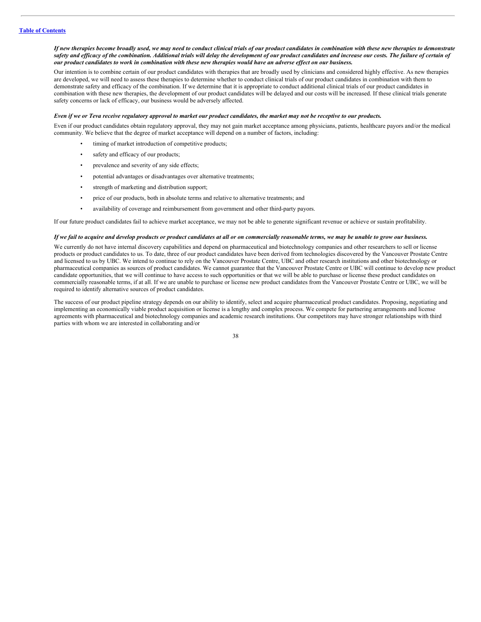If new therapies become broadly used, we may need to conduct clinical trials of our product candidates in combination with these new therapies to demonstrate safety and efficacy of the combination. Additional trials will delay the development of our product candidates and increase our costs. The failure of certain of our product candidates to work in combination with these new therapies would have an adverse effect on our business.

Our intention is to combine certain of our product candidates with therapies that are broadly used by clinicians and considered highly effective. As new therapies are developed, we will need to assess these therapies to determine whether to conduct clinical trials of our product candidates in combination with them to demonstrate safety and efficacy of the combination. If we determine that it is appropriate to conduct additional clinical trials of our product candidates in combination with these new therapies, the development of our product candidates will be delayed and our costs will be increased. If these clinical trials generate safety concerns or lack of efficacy, our business would be adversely affected.

# Even if we or Teva receive regulatory approval to market our product candidates, the market may not be receptive to our products.

Even if our product candidates obtain regulatory approval, they may not gain market acceptance among physicians, patients, healthcare payors and/or the medical community. We believe that the degree of market acceptance will depend on a number of factors, including:

- timing of market introduction of competitive products;
- safety and efficacy of our products;
- prevalence and severity of any side effects;
- potential advantages or disadvantages over alternative treatments;
- strength of marketing and distribution support;
- price of our products, both in absolute terms and relative to alternative treatments; and
- availability of coverage and reimbursement from government and other third-party payors.

If our future product candidates fail to achieve market acceptance, we may not be able to generate significant revenue or achieve or sustain profitability.

# If we fail to acquire and develop products or product candidates at all or on commercially reasonable terms, we may be unable to grow our business.

We currently do not have internal discovery capabilities and depend on pharmaceutical and biotechnology companies and other researchers to sell or license products or product candidates to us. To date, three of our product candidates have been derived from technologies discovered by the Vancouver Prostate Centre and licensed to us by UBC. We intend to continue to rely on the Vancouver Prostate Centre, UBC and other research institutions and other biotechnology or pharmaceutical companies as sources of product candidates. We cannot guarantee that the Vancouver Prostate Centre or UBC will continue to develop new product candidate opportunities, that we will continue to have access to such opportunities or that we will be able to purchase or license these product candidates on commercially reasonable terms, if at all. If we are unable to purchase or license new product candidates from the Vancouver Prostate Centre or UBC, we will be required to identify alternative sources of product candidates.

The success of our product pipeline strategy depends on our ability to identify, select and acquire pharmaceutical product candidates. Proposing, negotiating and implementing an economically viable product acquisition or license is a lengthy and complex process. We compete for partnering arrangements and license agreements with pharmaceutical and biotechnology companies and academic research institutions. Our competitors may have stronger relationships with third parties with whom we are interested in collaborating and/or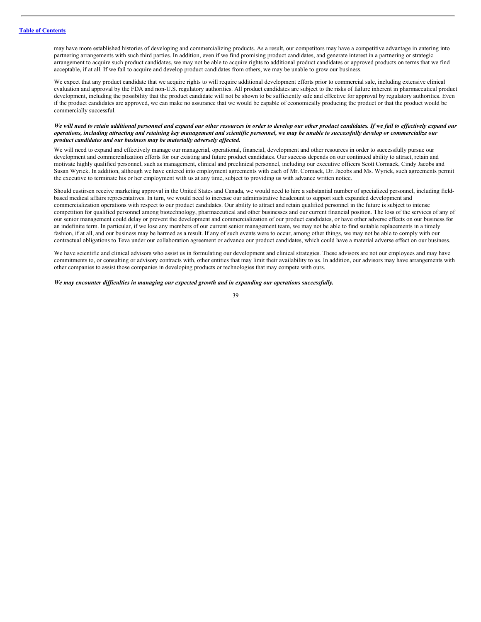may have more established histories of developing and commercializing products. As a result, our competitors may have a competitive advantage in entering into partnering arrangements with such third parties. In addition, even if we find promising product candidates, and generate interest in a partnering or strategic arrangement to acquire such product candidates, we may not be able to acquire rights to additional product candidates or approved products on terms that we find acceptable, if at all. If we fail to acquire and develop product candidates from others, we may be unable to grow our business.

We expect that any product candidate that we acquire rights to will require additional development efforts prior to commercial sale, including extensive clinical evaluation and approval by the FDA and non-U.S. regulatory authorities. All product candidates are subject to the risks of failure inherent in pharmaceutical product development, including the possibility that the product candidate will not be shown to be sufficiently safe and effective for approval by regulatory authorities. Even if the product candidates are approved, we can make no assurance that we would be capable of economically producing the product or that the product would be commercially successful.

#### We will need to retain additional personnel and expand our other resources in order to develop our other product candidates. If we fail to effectively expand our operations, including attracting and retaining key management and scientific personnel, we may be unable to successfully develop or commercialize our *product candidates and our business may be materially adversely af ected.*

We will need to expand and effectively manage our managerial, operational, financial, development and other resources in order to successfully pursue our development and commercialization efforts for our existing and future product candidates. Our success depends on our continued ability to attract, retain and motivate highly qualified personnel, such as management, clinical and preclinical personnel, including our executive officers Scott Cormack, Cindy Jacobs and Susan Wyrick. In addition, although we have entered into employment agreements with each of Mr. Cormack, Dr. Jacobs and Ms. Wyrick, such agreements permit the executive to terminate his or her employment with us at any time, subject to providing us with advance written notice.

Should custirsen receive marketing approval in the United States and Canada, we would need to hire a substantial number of specialized personnel, including fieldbased medical affairs representatives. In turn, we would need to increase our administrative headcount to support such expanded development and commercialization operations with respect to our product candidates. Our ability to attract and retain qualified personnel in the future is subject to intense competition for qualified personnel among biotechnology, pharmaceutical and other businesses and our current financial position. The loss of the services of any of our senior management could delay or prevent the development and commercialization of our product candidates, or have other adverse effects on our business for an indefinite term. In particular, if we lose any members of our current senior management team, we may not be able to find suitable replacements in a timely fashion, if at all, and our business may be harmed as a result. If any of such events were to occur, among other things, we may not be able to comply with our contractual obligations to Teva under our collaboration agreement or advance our product candidates, which could have a material adverse effect on our business.

We have scientific and clinical advisors who assist us in formulating our development and clinical strategies. These advisors are not our employees and may have commitments to, or consulting or advisory contracts with, other entities that may limit their availability to us. In addition, our advisors may have arrangements with other companies to assist those companies in developing products or technologies that may compete with ours.

*We may encounter dif iculties in managing our expected growth and in expanding our operations successfully.*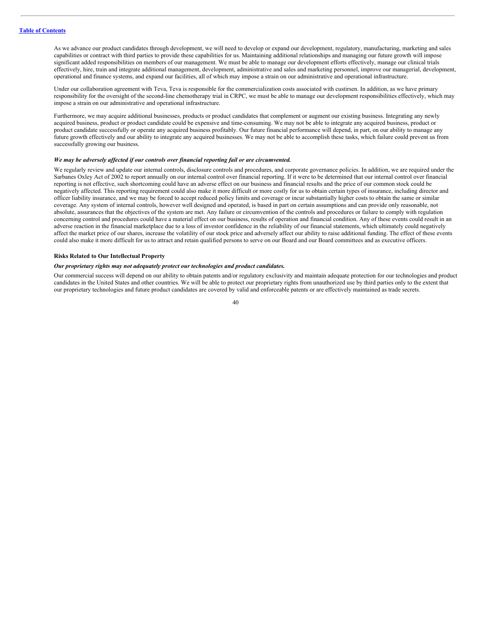As we advance our product candidates through development, we will need to develop or expand our development, regulatory, manufacturing, marketing and sales capabilities or contract with third parties to provide these capabilities for us. Maintaining additional relationships and managing our future growth will impose significant added responsibilities on members of our management. We must be able to manage our development efforts effectively, manage our clinical trials effectively, hire, train and integrate additional management, development, administrative and sales and marketing personnel, improve our managerial, development, operational and finance systems, and expand our facilities, all of which may impose a strain on our administrative and operational infrastructure.

Under our collaboration agreement with Teva, Teva is responsible for the commercialization costs associated with custirsen. In addition, as we have primary responsibility for the oversight of the second-line chemotherapy trial in CRPC, we must be able to manage our development responsibilities effectively, which may impose a strain on our administrative and operational infrastructure.

Furthermore, we may acquire additional businesses, products or product candidates that complement or augment our existing business. Integrating any newly acquired business, product or product candidate could be expensive and time-consuming. We may not be able to integrate any acquired business, product or product candidate successfully or operate any acquired business profitably. Our future financial performance will depend, in part, on our ability to manage any future growth effectively and our ability to integrate any acquired businesses. We may not be able to accomplish these tasks, which failure could prevent us from successfully growing our business.

# *We may be adversely af ected if our controls over financial reporting fail or are circumvented.*

We regularly review and update our internal controls, disclosure controls and procedures, and corporate governance policies. In addition, we are required under the Sarbanes Oxley Act of 2002 to report annually on our internal control over financial reporting. If it were to be determined that our internal control over financial reporting is not effective, such shortcoming could have an adverse effect on our business and financial results and the price of our common stock could be negatively affected. This reporting requirement could also make it more difficult or more costly for us to obtain certain types of insurance, including director and officer liability insurance, and we may be forced to accept reduced policy limits and coverage or incur substantially higher costs to obtain the same or similar coverage. Any system of internal controls, however well designed and operated, is based in part on certain assumptions and can provide only reasonable, not absolute, assurances that the objectives of the system are met. Any failure or circumvention of the controls and procedures or failure to comply with regulation concerning control and procedures could have a material effect on our business, results of operation and financial condition. Any of these events could result in an adverse reaction in the financial marketplace due to a loss of investor confidence in the reliability of our financial statements, which ultimately could negatively affect the market price of our shares, increase the volatility of our stock price and adversely affect our ability to raise additional funding. The effect of these events could also make it more difficult for us to attract and retain qualified persons to serve on our Board and our Board committees and as executive officers.

# **Risks Related to Our Intellectual Property**

#### *Our proprietary rights may not adequately protect our technologies and product candidates.*

Our commercial success will depend on our ability to obtain patents and/or regulatory exclusivity and maintain adequate protection for our technologies and product candidates in the United States and other countries. We will be able to protect our proprietary rights from unauthorized use by third parties only to the extent that our proprietary technologies and future product candidates are covered by valid and enforceable patents or are effectively maintained as trade secrets.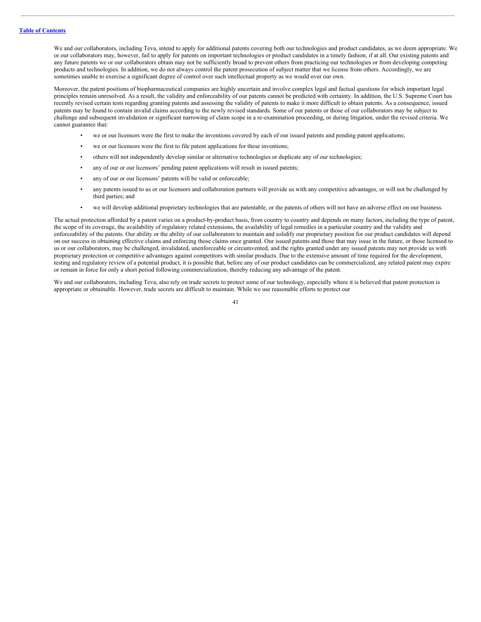We and our collaborators, including Teva, intend to apply for additional patents covering both our technologies and product candidates, as we deem appropriate. We or our collaborators may, however, fail to apply for patents on important technologies or product candidates in a timely fashion, if at all. Our existing patents and any future patents we or our collaborators obtain may not be sufficiently broad to prevent others from practicing our technologies or from developing competing products and technologies. In addition, we do not always control the patent prosecution of subject matter that we license from others. Accordingly, we are sometimes unable to exercise a significant degree of control over such intellectual property as we would over our own.

Moreover, the patent positions of biopharmaceutical companies are highly uncertain and involve complex legal and factual questions for which important legal principles remain unresolved. As a result, the validity and enforceability of our patents cannot be predicted with certainty. In addition, the U.S. Supreme Court has recently revised certain tests regarding granting patents and assessing the validity of patents to make it more difficult to obtain patents. As a consequence, issued patents may be found to contain invalid claims according to the newly revised standards. Some of our patents or those of our collaborators may be subject to challenge and subsequent invalidation or significant narrowing of claim scope in a re-examination proceeding, or during litigation, under the revised criteria. We cannot guarantee that:

- we or our licensors were the first to make the inventions covered by each of our issued patents and pending patent applications;
- we or our licensors were the first to file patent applications for these inventions;
- others will not independently develop similar or alternative technologies or duplicate any of our technologies;
- any of our or our licensors' pending patent applications will result in issued patents;
- any of our or our licensors' patents will be valid or enforceable;
- any patents issued to us or our licensors and collaboration partners will provide us with any competitive advantages, or will not be challenged by third parties; and
- we will develop additional proprietary technologies that are patentable, or the patents of others will not have an adverse effect on our business.

The actual protection afforded by a patent varies on a product-by-product basis, from country to country and depends on many factors, including the type of patent, the scope of its coverage, the availability of regulatory related extensions, the availability of legal remedies in a particular country and the validity and enforceability of the patents. Our ability or the ability of our collaborators to maintain and solidify our proprietary position for our product candidates will depend on our success in obtaining effective claims and enforcing those claims once granted. Our issued patents and those that may issue in the future, or those licensed to us or our collaborators, may be challenged, invalidated, unenforceable or circumvented, and the rights granted under any issued patents may not provide us with proprietary protection or competitive advantages against competitors with similar products. Due to the extensive amount of time required for the development, testing and regulatory review of a potential product, it is possible that, before any of our product candidates can be commercialized, any related patent may expire or remain in force for only a short period following commercialization, thereby reducing any advantage of the patent.

We and our collaborators, including Teva, also rely on trade secrets to protect some of our technology, especially where it is believed that patent protection is appropriate or obtainable. However, trade secrets are difficult to maintain. While we use reasonable efforts to protect our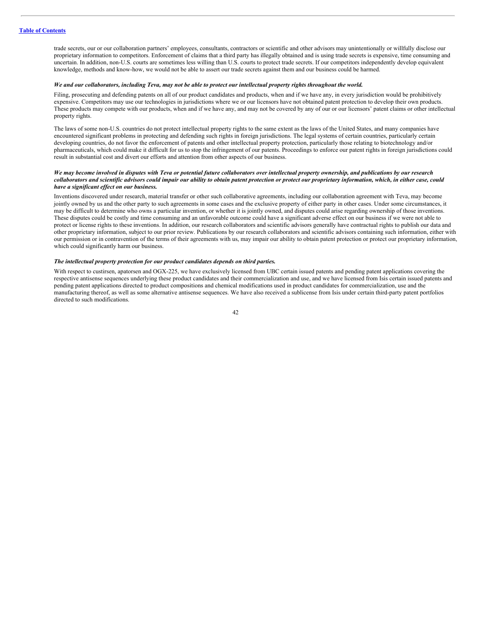trade secrets, our or our collaboration partners' employees, consultants, contractors or scientific and other advisors may unintentionally or willfully disclose our proprietary information to competitors. Enforcement of claims that a third party has illegally obtained and is using trade secrets is expensive, time consuming and uncertain. In addition, non-U.S. courts are sometimes less willing than U.S. courts to protect trade secrets. If our competitors independently develop equivalent knowledge, methods and know-how, we would not be able to assert our trade secrets against them and our business could be harmed.

# We and our collaborators, including Teva, may not be able to protect our intellectual property rights throughout the world.

Filing, prosecuting and defending patents on all of our product candidates and products, when and if we have any, in every jurisdiction would be prohibitively expensive. Competitors may use our technologies in jurisdictions where we or our licensors have not obtained patent protection to develop their own products. These products may compete with our products, when and if we have any, and may not be covered by any of our or our licensors' patent claims or other intellectual property rights.

The laws of some non-U.S. countries do not protect intellectual property rights to the same extent as the laws of the United States, and many companies have encountered significant problems in protecting and defending such rights in foreign jurisdictions. The legal systems of certain countries, particularly certain developing countries, do not favor the enforcement of patents and other intellectual property protection, particularly those relating to biotechnology and/or pharmaceuticals, which could make it difficult for us to stop the infringement of our patents. Proceedings to enforce our patent rights in foreign jurisdictions could result in substantial cost and divert our efforts and attention from other aspects of our business.

# We may become involved in disputes with Teva or potential future collaborators over intellectual property ownership, and publications by our research collaborators and scientific advisors could impair our ability to obtain patent protection or protect our proprietary information, which, in either case, could *have a significant ef ect on our business.*

Inventions discovered under research, material transfer or other such collaborative agreements, including our collaboration agreement with Teva, may become jointly owned by us and the other party to such agreements in some cases and the exclusive property of either party in other cases. Under some circumstances, it may be difficult to determine who owns a particular invention, or whether it is jointly owned, and disputes could arise regarding ownership of those inventions. These disputes could be costly and time consuming and an unfavorable outcome could have a significant adverse effect on our business if we were not able to protect or license rights to these inventions. In addition, our research collaborators and scientific advisors generally have contractual rights to publish our data and other proprietary information, subject to our prior review. Publications by our research collaborators and scientific advisors containing such information, either with our permission or in contravention of the terms of their agreements with us, may impair our ability to obtain patent protection or protect our proprietary information, which could significantly harm our business.

#### *The intellectual property protection for our product candidates depends on third parties.*

With respect to custirsen, apatorsen and OGX-225, we have exclusively licensed from UBC certain issued patents and pending patent applications covering the respective antisense sequences underlying these product candidates and their commercialization and use, and we have licensed from Isis certain issued patents and pending patent applications directed to product compositions and chemical modifications used in product candidates for commercialization, use and the manufacturing thereof, as well as some alternative antisense sequences. We have also received a sublicense from Isis under certain third-party patent portfolios directed to such modifications.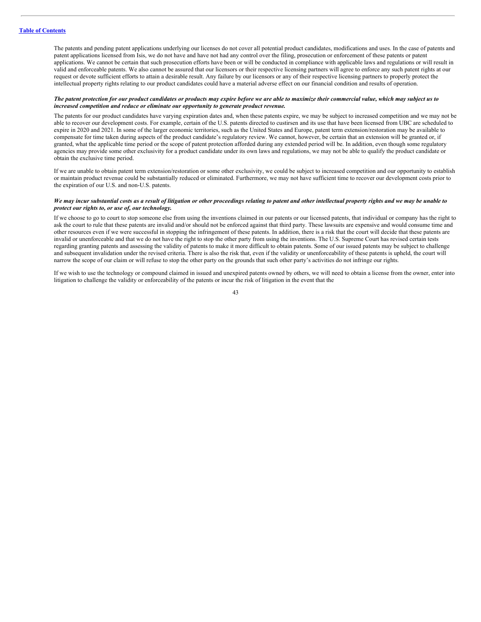The patents and pending patent applications underlying our licenses do not cover all potential product candidates, modifications and uses. In the case of patents and patent applications licensed from Isis, we do not have and have not had any control over the filing, prosecution or enforcement of these patents or patent applications. We cannot be certain that such prosecution efforts have been or will be conducted in compliance with applicable laws and regulations or will result in valid and enforceable patents. We also cannot be assured that our licensors or their respective licensing partners will agree to enforce any such patent rights at our request or devote sufficient efforts to attain a desirable result. Any failure by our licensors or any of their respective licensing partners to properly protect the intellectual property rights relating to our product candidates could have a material adverse effect on our financial condition and results of operation.

# The patent protection for our product candidates or products may expire before we are able to maximize their commercial value, which may subject us to *increased competition and reduce or eliminate our opportunity to generate product revenue.*

The patents for our product candidates have varying expiration dates and, when these patents expire, we may be subject to increased competition and we may not be able to recover our development costs. For example, certain of the U.S. patents directed to custirsen and its use that have been licensed from UBC are scheduled to expire in 2020 and 2021. In some of the larger economic territories, such as the United States and Europe, patent term extension/restoration may be available to compensate for time taken during aspects of the product candidate's regulatory review. We cannot, however, be certain that an extension will be granted or, if granted, what the applicable time period or the scope of patent protection afforded during any extended period will be. In addition, even though some regulatory agencies may provide some other exclusivity for a product candidate under its own laws and regulations, we may not be able to qualify the product candidate or obtain the exclusive time period.

If we are unable to obtain patent term extension/restoration or some other exclusivity, we could be subject to increased competition and our opportunity to establish or maintain product revenue could be substantially reduced or eliminated. Furthermore, we may not have sufficient time to recover our development costs prior to the expiration of our U.S. and non-U.S. patents.

#### We may incur substantial costs as a result of litigation or other proceedings relating to patent and other intellectual property rights and we may be unable to *protect our rights to, or use of, our technology.*

If we choose to go to court to stop someone else from using the inventions claimed in our patents or our licensed patents, that individual or company has the right to ask the court to rule that these patents are invalid and/or should not be enforced against that third party. These lawsuits are expensive and would consume time and other resources even if we were successful in stopping the infringement of these patents. In addition, there is a risk that the court will decide that these patents are invalid or unenforceable and that we do not have the right to stop the other party from using the inventions. The U.S. Supreme Court has revised certain tests regarding granting patents and assessing the validity of patents to make it more difficult to obtain patents. Some of our issued patents may be subject to challenge and subsequent invalidation under the revised criteria. There is also the risk that, even if the validity or unenforceability of these patents is upheld, the court will narrow the scope of our claim or will refuse to stop the other party on the grounds that such other party's activities do not infringe our rights.

If we wish to use the technology or compound claimed in issued and unexpired patents owned by others, we will need to obtain a license from the owner, enter into litigation to challenge the validity or enforceability of the patents or incur the risk of litigation in the event that the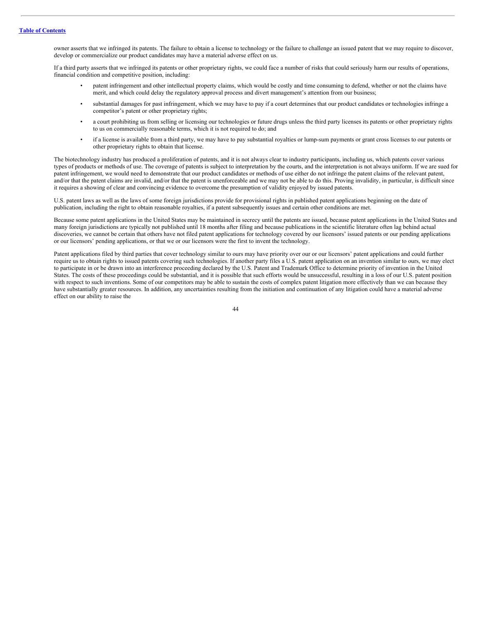owner asserts that we infringed its patents. The failure to obtain a license to technology or the failure to challenge an issued patent that we may require to discover, develop or commercialize our product candidates may have a material adverse effect on us.

If a third party asserts that we infringed its patents or other proprietary rights, we could face a number of risks that could seriously harm our results of operations, financial condition and competitive position, including:

- patent infringement and other intellectual property claims, which would be costly and time consuming to defend, whether or not the claims have merit, and which could delay the regulatory approval process and divert management's attention from our business;
- substantial damages for past infringement, which we may have to pay if a court determines that our product candidates or technologies infringe a competitor's patent or other proprietary rights;
- a court prohibiting us from selling or licensing our technologies or future drugs unless the third party licenses its patents or other proprietary rights to us on commercially reasonable terms, which it is not required to do; and
- if a license is available from a third party, we may have to pay substantial royalties or lump-sum payments or grant cross licenses to our patents or other proprietary rights to obtain that license.

The biotechnology industry has produced a proliferation of patents, and it is not always clear to industry participants, including us, which patents cover various types of products or methods of use. The coverage of patents is subject to interpretation by the courts, and the interpretation is not always uniform. If we are sued for patent infringement, we would need to demonstrate that our product candidates or methods of use either do not infringe the patent claims of the relevant patent, and/or that the patent claims are invalid, and/or that the patent is unenforceable and we may not be able to do this. Proving invalidity, in particular, is difficult since it requires a showing of clear and convincing evidence to overcome the presumption of validity enjoyed by issued patents.

U.S. patent laws as well as the laws of some foreign jurisdictions provide for provisional rights in published patent applications beginning on the date of publication, including the right to obtain reasonable royalties, if a patent subsequently issues and certain other conditions are met.

Because some patent applications in the United States may be maintained in secrecy until the patents are issued, because patent applications in the United States and many foreign jurisdictions are typically not published until 18 months after filing and because publications in the scientific literature often lag behind actual discoveries, we cannot be certain that others have not filed patent applications for technology covered by our licensors' issued patents or our pending applications or our licensors' pending applications, or that we or our licensors were the first to invent the technology.

Patent applications filed by third parties that cover technology similar to ours may have priority over our or our licensors' patent applications and could further require us to obtain rights to issued patents covering such technologies. If another party files a U.S. patent application on an invention similar to ours, we may elect to participate in or be drawn into an interference proceeding declared by the U.S. Patent and Trademark Office to determine priority of invention in the United States. The costs of these proceedings could be substantial, and it is possible that such efforts would be unsuccessful, resulting in a loss of our U.S. patent position with respect to such inventions. Some of our competitors may be able to sustain the costs of complex patent litigation more effectively than we can because they have substantially greater resources. In addition, any uncertainties resulting from the initiation and continuation of any litigation could have a material adverse effect on our ability to raise the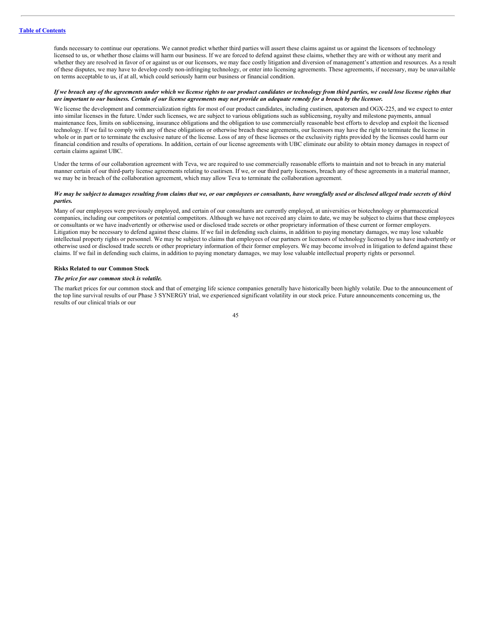funds necessary to continue our operations. We cannot predict whether third parties will assert these claims against us or against the licensors of technology licensed to us, or whether those claims will harm our business. If we are forced to defend against these claims, whether they are with or without any merit and whether they are resolved in favor of or against us or our licensors, we may face costly litigation and diversion of management's attention and resources. As a result of these disputes, we may have to develop costly non-infringing technology, or enter into licensing agreements. These agreements, if necessary, may be unavailable on terms acceptable to us, if at all, which could seriously harm our business or financial condition.

#### If we breach any of the agreements under which we license rights to our product candidates or technology from third parties, we could lose license rights that are important to our business. Certain of our license agreements may not provide an adequate remedy for a breach by the licensor.

We license the development and commercialization rights for most of our product candidates, including custirsen, apatorsen and OGX-225, and we expect to enter into similar licenses in the future. Under such licenses, we are subject to various obligations such as sublicensing, royalty and milestone payments, annual maintenance fees, limits on sublicensing, insurance obligations and the obligation to use commercially reasonable best efforts to develop and exploit the licensed technology. If we fail to comply with any of these obligations or otherwise breach these agreements, our licensors may have the right to terminate the license in whole or in part or to terminate the exclusive nature of the license. Loss of any of these licenses or the exclusivity rights provided by the licenses could harm our financial condition and results of operations. In addition, certain of our license agreements with UBC eliminate our ability to obtain money damages in respect of certain claims against UBC.

Under the terms of our collaboration agreement with Teva, we are required to use commercially reasonable efforts to maintain and not to breach in any material manner certain of our third-party license agreements relating to custirsen. If we, or our third party licensors, breach any of these agreements in a material manner, we may be in breach of the collaboration agreement, which may allow Teva to terminate the collaboration agreement.

# We may be subject to damages resulting from claims that we, or our employees or consultants, have wrongfully used or disclosed alleged trade secrets of third *parties.*

Many of our employees were previously employed, and certain of our consultants are currently employed, at universities or biotechnology or pharmaceutical companies, including our competitors or potential competitors. Although we have not received any claim to date, we may be subject to claims that these employees or consultants or we have inadvertently or otherwise used or disclosed trade secrets or other proprietary information of these current or former employers. Litigation may be necessary to defend against these claims. If we fail in defending such claims, in addition to paying monetary damages, we may lose valuable intellectual property rights or personnel. We may be subject to claims that employees of our partners or licensors of technology licensed by us have inadvertently or otherwise used or disclosed trade secrets or other proprietary information of their former employers. We may become involved in litigation to defend against these claims. If we fail in defending such claims, in addition to paying monetary damages, we may lose valuable intellectual property rights or personnel.

#### **Risks Related to our Common Stock**

#### *The price for our common stock is volatile.*

The market prices for our common stock and that of emerging life science companies generally have historically been highly volatile. Due to the announcement of the top line survival results of our Phase 3 SYNERGY trial, we experienced significant volatility in our stock price. Future announcements concerning us, the results of our clinical trials or our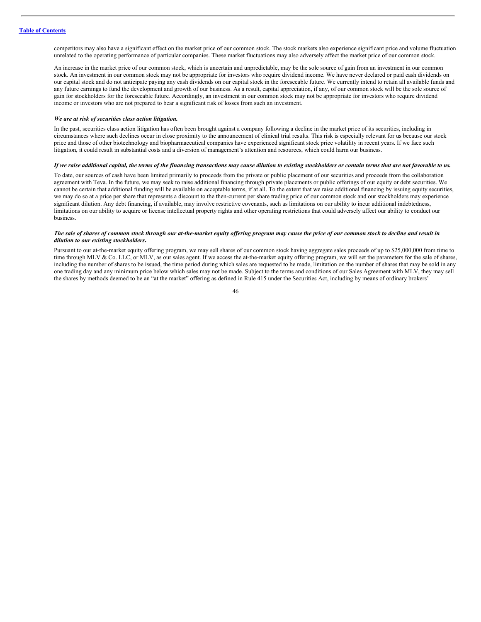competitors may also have a significant effect on the market price of our common stock. The stock markets also experience significant price and volume fluctuation unrelated to the operating performance of particular companies. These market fluctuations may also adversely affect the market price of our common stock.

An increase in the market price of our common stock, which is uncertain and unpredictable, may be the sole source of gain from an investment in our common stock. An investment in our common stock may not be appropriate for investors who require dividend income. We have never declared or paid cash dividends on our capital stock and do not anticipate paying any cash dividends on our capital stock in the foreseeable future. We currently intend to retain all available funds and any future earnings to fund the development and growth of our business. As a result, capital appreciation, if any, of our common stock will be the sole source of gain for stockholders for the foreseeable future. Accordingly, an investment in our common stock may not be appropriate for investors who require dividend income or investors who are not prepared to bear a significant risk of losses from such an investment.

#### *We are at risk of securities class action litigation.*

In the past, securities class action litigation has often been brought against a company following a decline in the market price of its securities, including in circumstances where such declines occur in close proximity to the announcement of clinical trial results. This risk is especially relevant for us because our stock price and those of other biotechnology and biopharmaceutical companies have experienced significant stock price volatility in recent years. If we face such litigation, it could result in substantial costs and a diversion of management's attention and resources, which could harm our business.

#### If we raise additional capital, the terms of the financing transactions may cause dilution to existing stockholders or contain terms that are not favorable to us.

To date, our sources of cash have been limited primarily to proceeds from the private or public placement of our securities and proceeds from the collaboration agreement with Teva. In the future, we may seek to raise additional financing through private placements or public offerings of our equity or debt securities. We cannot be certain that additional funding will be available on acceptable terms, if at all. To the extent that we raise additional financing by issuing equity securities, we may do so at a price per share that represents a discount to the then-current per share trading price of our common stock and our stockholders may experience significant dilution. Any debt financing, if available, may involve restrictive covenants, such as limitations on our ability to incur additional indebtedness, limitations on our ability to acquire or license intellectual property rights and other operating restrictions that could adversely affect our ability to conduct our business.

#### The sale of shares of common stock through our at-the-market equity offering program may cause the price of our common stock to decline and result in *dilution to our existing stockholders***.**

Pursuant to our at-the-market equity offering program, we may sell shares of our common stock having aggregate sales proceeds of up to \$25,000,000 from time to time through MLV & Co. LLC, or MLV, as our sales agent. If we access the at-the-market equity offering program, we will set the parameters for the sale of shares, including the number of shares to be issued, the time period during which sales are requested to be made, limitation on the number of shares that may be sold in any one trading day and any minimum price below which sales may not be made. Subject to the terms and conditions of our Sales Agreement with MLV, they may sell the shares by methods deemed to be an "at the market" offering as defined in Rule 415 under the Securities Act, including by means of ordinary brokers'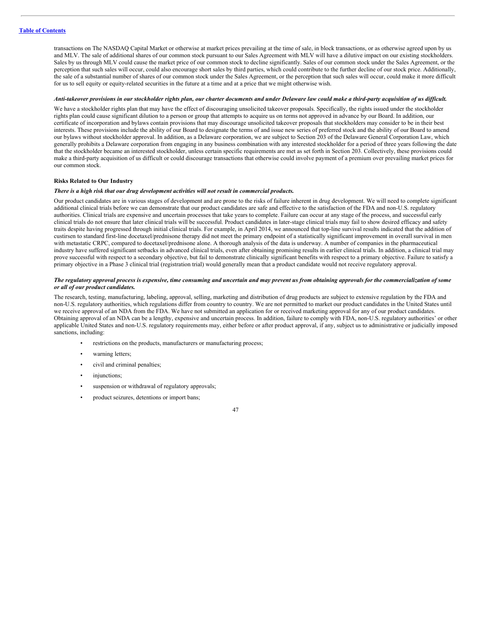transactions on The NASDAQ Capital Market or otherwise at market prices prevailing at the time of sale, in block transactions, or as otherwise agreed upon by us and MLV. The sale of additional shares of our common stock pursuant to our Sales Agreement with MLV will have a dilutive impact on our existing stockholders. Sales by us through MLV could cause the market price of our common stock to decline significantly. Sales of our common stock under the Sales Agreement, or the perception that such sales will occur, could also encourage short sales by third parties, which could contribute to the further decline of our stock price. Additionally, the sale of a substantial number of shares of our common stock under the Sales Agreement, or the perception that such sales will occur, could make it more difficult for us to sell equity or equity-related securities in the future at a time and at a price that we might otherwise wish.

# Anti-takeover provisions in our stockholder rights plan, our charter documents and under Delaware law could make a third-party acquisition of us difficult.

We have a stockholder rights plan that may have the effect of discouraging unsolicited takeover proposals. Specifically, the rights issued under the stockholder rights plan could cause significant dilution to a person or group that attempts to acquire us on terms not approved in advance by our Board. In addition, our certificate of incorporation and bylaws contain provisions that may discourage unsolicited takeover proposals that stockholders may consider to be in their best interests. These provisions include the ability of our Board to designate the terms of and issue new series of preferred stock and the ability of our Board to amend our bylaws without stockholder approval. In addition, as a Delaware corporation, we are subject to Section 203 of the Delaware General Corporation Law, which generally prohibits a Delaware corporation from engaging in any business combination with any interested stockholder for a period of three years following the date that the stockholder became an interested stockholder, unless certain specific requirements are met as set forth in Section 203. Collectively, these provisions could make a third-party acquisition of us difficult or could discourage transactions that otherwise could involve payment of a premium over prevailing market prices for our common stock.

# **Risks Related to Our Industry**

#### *There is a high risk that our drug development activities will not result in commercial products.*

Our product candidates are in various stages of development and are prone to the risks of failure inherent in drug development. We will need to complete significant additional clinical trials before we can demonstrate that our product candidates are safe and effective to the satisfaction of the FDA and non-U.S. regulatory authorities. Clinical trials are expensive and uncertain processes that take years to complete. Failure can occur at any stage of the process, and successful early clinical trials do not ensure that later clinical trials will be successful. Product candidates in later-stage clinical trials may fail to show desired efficacy and safety traits despite having progressed through initial clinical trials. For example, in April 2014, we announced that top-line survival results indicated that the addition of custirsen to standard first-line docetaxel/prednisone therapy did not meet the primary endpoint of a statistically significant improvement in overall survival in men with metastatic CRPC, compared to docetaxel/prednisone alone. A thorough analysis of the data is underway. A number of companies in the pharmaceutical industry have suffered significant setbacks in advanced clinical trials, even after obtaining promising results in earlier clinical trials. In addition, a clinical trial may prove successful with respect to a secondary objective, but fail to demonstrate clinically significant benefits with respect to a primary objective. Failure to satisfy a primary objective in a Phase 3 clinical trial (registration trial) would generally mean that a product candidate would not receive regulatory approval.

# The regulatory approval process is expensive, time consuming and uncertain and may prevent us from obtaining approvals for the commercialization of some *or all of our product candidates.*

The research, testing, manufacturing, labeling, approval, selling, marketing and distribution of drug products are subject to extensive regulation by the FDA and non-U.S. regulatory authorities, which regulations differ from country to country. We are not permitted to market our product candidates in the United States until we receive approval of an NDA from the FDA. We have not submitted an application for or received marketing approval for any of our product candidates. Obtaining approval of an NDA can be a lengthy, expensive and uncertain process. In addition, failure to comply with FDA, non-U.S. regulatory authorities' or other applicable United States and non-U.S. regulatory requirements may, either before or after product approval, if any, subject us to administrative or judicially imposed sanctions, including:

- restrictions on the products, manufacturers or manufacturing process;
- warning letters;
- civil and criminal penalties;
- injunctions:
- suspension or withdrawal of regulatory approvals;
- product seizures, detentions or import bans;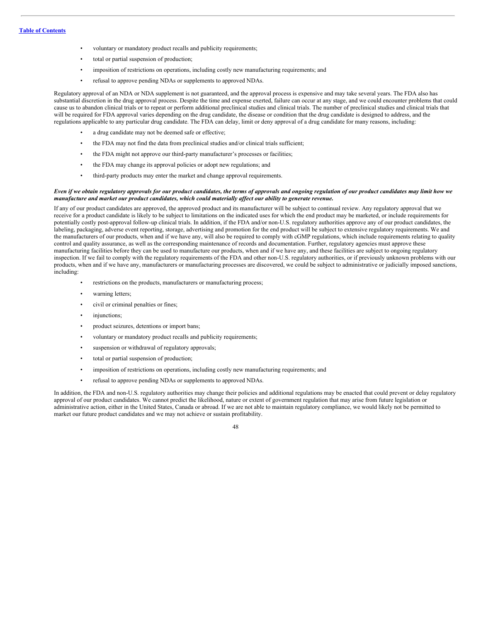- voluntary or mandatory product recalls and publicity requirements;
- total or partial suspension of production;
- imposition of restrictions on operations, including costly new manufacturing requirements; and
- refusal to approve pending NDAs or supplements to approved NDAs.

Regulatory approval of an NDA or NDA supplement is not guaranteed, and the approval process is expensive and may take several years. The FDA also has substantial discretion in the drug approval process. Despite the time and expense exerted, failure can occur at any stage, and we could encounter problems that could cause us to abandon clinical trials or to repeat or perform additional preclinical studies and clinical trials. The number of preclinical studies and clinical trials that will be required for FDA approval varies depending on the drug candidate, the disease or condition that the drug candidate is designed to address, and the regulations applicable to any particular drug candidate. The FDA can delay, limit or deny approval of a drug candidate for many reasons, including:

- a drug candidate may not be deemed safe or effective;
- the FDA may not find the data from preclinical studies and/or clinical trials sufficient;
- the FDA might not approve our third-party manufacturer's processes or facilities;
- the FDA may change its approval policies or adopt new regulations; and
- third-party products may enter the market and change approval requirements.

# Even if we obtain regulatory approvals for our product candidates, the terms of approvals and ongoing regulation of our product candidates may limit how we *manufacture and market our product candidates, which could materially af ect our ability to generate revenue.*

If any of our product candidates are approved, the approved product and its manufacturer will be subject to continual review. Any regulatory approval that we receive for a product candidate is likely to be subject to limitations on the indicated uses for which the end product may be marketed, or include requirements for potentially costly post-approval follow-up clinical trials. In addition, if the FDA and/or non-U.S. regulatory authorities approve any of our product candidates, the labeling, packaging, adverse event reporting, storage, advertising and promotion for the end product will be subject to extensive regulatory requirements. We and the manufacturers of our products, when and if we have any, will also be required to comply with cGMP regulations, which include requirements relating to quality control and quality assurance, as well as the corresponding maintenance of records and documentation. Further, regulatory agencies must approve these manufacturing facilities before they can be used to manufacture our products, when and if we have any, and these facilities are subject to ongoing regulatory inspection. If we fail to comply with the regulatory requirements of the FDA and other non-U.S. regulatory authorities, or if previously unknown problems with our products, when and if we have any, manufacturers or manufacturing processes are discovered, we could be subject to administrative or judicially imposed sanctions, including:

- restrictions on the products, manufacturers or manufacturing process;
- warning letters;
- civil or criminal penalties or fines;
- injunctions:
- product seizures, detentions or import bans;
- voluntary or mandatory product recalls and publicity requirements;
- suspension or withdrawal of regulatory approvals;
- total or partial suspension of production;
- imposition of restrictions on operations, including costly new manufacturing requirements; and
- refusal to approve pending NDAs or supplements to approved NDAs.

In addition, the FDA and non-U.S. regulatory authorities may change their policies and additional regulations may be enacted that could prevent or delay regulatory approval of our product candidates. We cannot predict the likelihood, nature or extent of government regulation that may arise from future legislation or administrative action, either in the United States, Canada or abroad. If we are not able to maintain regulatory compliance, we would likely not be permitted to market our future product candidates and we may not achieve or sustain profitability.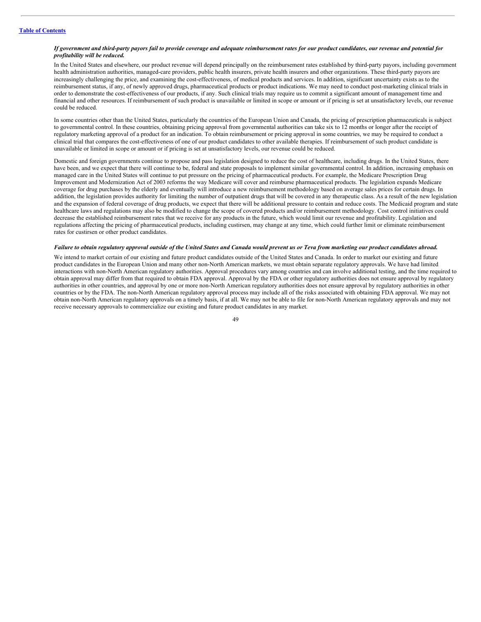# If government and third-party payors fail to provide coverage and adequate reimbursement rates for our product candidates, our revenue and potential for *profitability will be reduced.*

In the United States and elsewhere, our product revenue will depend principally on the reimbursement rates established by third-party payors, including government health administration authorities, managed-care providers, public health insurers, private health insurers and other organizations. These third-party payors are increasingly challenging the price, and examining the cost-effectiveness, of medical products and services. In addition, significant uncertainty exists as to the reimbursement status, if any, of newly approved drugs, pharmaceutical products or product indications. We may need to conduct post-marketing clinical trials in order to demonstrate the cost-effectiveness of our products, if any. Such clinical trials may require us to commit a significant amount of management time and financial and other resources. If reimbursement of such product is unavailable or limited in scope or amount or if pricing is set at unsatisfactory levels, our revenue could be reduced.

In some countries other than the United States, particularly the countries of the European Union and Canada, the pricing of prescription pharmaceuticals is subject to governmental control. In these countries, obtaining pricing approval from governmental authorities can take six to 12 months or longer after the receipt of regulatory marketing approval of a product for an indication. To obtain reimbursement or pricing approval in some countries, we may be required to conduct a clinical trial that compares the cost-effectiveness of one of our product candidates to other available therapies. If reimbursement of such product candidate is unavailable or limited in scope or amount or if pricing is set at unsatisfactory levels, our revenue could be reduced.

Domestic and foreign governments continue to propose and pass legislation designed to reduce the cost of healthcare, including drugs. In the United States, there have been, and we expect that there will continue to be, federal and state proposals to implement similar governmental control. In addition, increasing emphasis on managed care in the United States will continue to put pressure on the pricing of pharmaceutical products. For example, the Medicare Prescription Drug Improvement and Modernization Act of 2003 reforms the way Medicare will cover and reimburse pharmaceutical products. The legislation expands Medicare coverage for drug purchases by the elderly and eventually will introduce a new reimbursement methodology based on average sales prices for certain drugs. In addition, the legislation provides authority for limiting the number of outpatient drugs that will be covered in any therapeutic class. As a result of the new legislation and the expansion of federal coverage of drug products, we expect that there will be additional pressure to contain and reduce costs. The Medicaid program and state healthcare laws and regulations may also be modified to change the scope of covered products and/or reimbursement methodology. Cost control initiatives could decrease the established reimbursement rates that we receive for any products in the future, which would limit our revenue and profitability. Legislation and regulations affecting the pricing of pharmaceutical products, including custirsen, may change at any time, which could further limit or eliminate reimbursement rates for custirsen or other product candidates.

#### Failure to obtain regulatory approval outside of the United States and Canada would prevent us or Teva from marketing our product candidates abroad.

We intend to market certain of our existing and future product candidates outside of the United States and Canada. In order to market our existing and future product candidates in the European Union and many other non-North American markets, we must obtain separate regulatory approvals. We have had limited interactions with non-North American regulatory authorities. Approval procedures vary among countries and can involve additional testing, and the time required to obtain approval may differ from that required to obtain FDA approval. Approval by the FDA or other regulatory authorities does not ensure approval by regulatory authorities in other countries, and approval by one or more non-North American regulatory authorities does not ensure approval by regulatory authorities in other countries or by the FDA. The non-North American regulatory approval process may include all of the risks associated with obtaining FDA approval. We may not obtain non-North American regulatory approvals on a timely basis, if at all. We may not be able to file for non-North American regulatory approvals and may not receive necessary approvals to commercialize our existing and future product candidates in any market.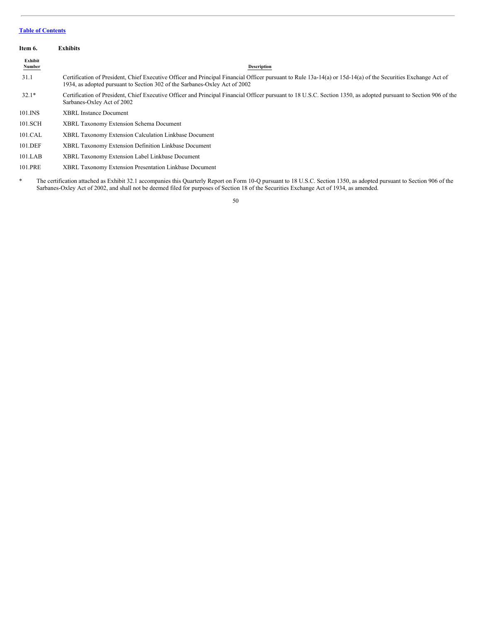<span id="page-49-0"></span>

| Item 6.           | <b>Exhibits</b>                                                                                                                                                                                                                                                                                                     |
|-------------------|---------------------------------------------------------------------------------------------------------------------------------------------------------------------------------------------------------------------------------------------------------------------------------------------------------------------|
| Exhibit<br>Number | <b>Description</b>                                                                                                                                                                                                                                                                                                  |
| 31.1              | Certification of President, Chief Executive Officer and Principal Financial Officer pursuant to Rule 13a-14(a) or 15d-14(a) of the Securities Exchange Act of<br>1934, as adopted pursuant to Section 302 of the Sarbanes-Oxley Act of 2002                                                                         |
| $32.1*$           | Certification of President, Chief Executive Officer and Principal Financial Officer pursuant to 18 U.S.C. Section 1350, as adopted pursuant to Section 906 of the<br>Sarbanes-Oxley Act of 2002                                                                                                                     |
| 101.INS           | <b>XBRL</b> Instance Document                                                                                                                                                                                                                                                                                       |
| 101.SCH           | <b>XBRL Taxonomy Extension Schema Document</b>                                                                                                                                                                                                                                                                      |
| 101.CAL           | <b>XBRL Taxonomy Extension Calculation Linkbase Document</b>                                                                                                                                                                                                                                                        |
| 101.DEF           | <b>XBRL Taxonomy Extension Definition Linkbase Document</b>                                                                                                                                                                                                                                                         |
| 101.LAB           | XBRL Taxonomy Extension Label Linkbase Document                                                                                                                                                                                                                                                                     |
| 101.PRE           | XBRL Taxonomy Extension Presentation Linkbase Document                                                                                                                                                                                                                                                              |
| $\ast$            | The certification attached as Exhibit 32.1 accompanies this Quarterly Report on Form 10-Q pursuant to 18 U.S.C. Section 1350, as adopted pursuant to Section 906 of the<br>Sarbanes-Oxley Act of 2002, and shall not be deemed filed for purposes of Section 18 of the Securities Exchange Act of 1934, as amended. |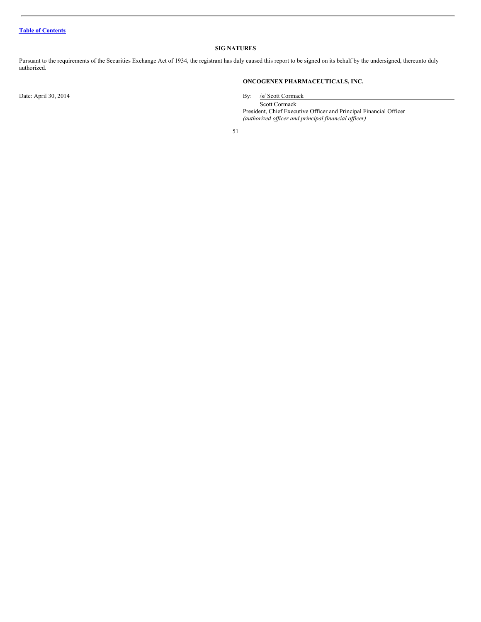# <span id="page-50-0"></span>**SIG NATURES**

Pursuant to the requirements of the Securities Exchange Act of 1934, the registrant has duly caused this report to be signed on its behalf by the undersigned, thereunto duly authorized.

# **ONCOGENEX PHARMACEUTICALS, INC.**

Date: April 30, 2014 By: /s/ Scott Cormack

Scott Cormack President, Chief Executive Officer and Principal Financial Officer *(authorized of icer and principal financial of icer)*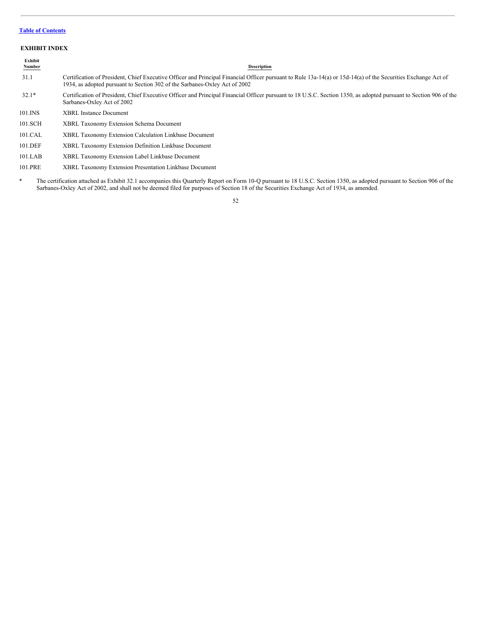# <span id="page-51-0"></span>**EXHIBIT INDEX**

| Exhibit<br><b>Number</b> | Description                                                                                                                                                                                                                                 |
|--------------------------|---------------------------------------------------------------------------------------------------------------------------------------------------------------------------------------------------------------------------------------------|
| 31.1                     | Certification of President, Chief Executive Officer and Principal Financial Officer pursuant to Rule 13a-14(a) or 15d-14(a) of the Securities Exchange Act of<br>1934, as adopted pursuant to Section 302 of the Sarbanes-Oxley Act of 2002 |
| $32.1*$                  | Certification of President, Chief Executive Officer and Principal Financial Officer pursuant to 18 U.S.C. Section 1350, as adopted pursuant to Section 906 of the<br>Sarbanes-Oxley Act of 2002                                             |
| 101.INS                  | <b>XBRL</b> Instance Document                                                                                                                                                                                                               |
| 101.SCH                  | <b>XBRL Taxonomy Extension Schema Document</b>                                                                                                                                                                                              |
| 101.CAL                  | XBRL Taxonomy Extension Calculation Linkbase Document                                                                                                                                                                                       |

- 101.DEF XBRL Taxonomy Extension Definition Linkbase Document
- 101.LAB XBRL Taxonomy Extension Label Linkbase Document
- 101.PRE XBRL Taxonomy Extension Presentation Linkbase Document
- \* The certification attached as Exhibit 32.1 accompanies this Quarterly Report on Form 10-Q pursuant to 18 U.S.C. Section 1350, as adopted pursuant to Section 906 of the Sarbanes-Oxley Act of 2002, and shall not be deemed filed for purposes of Section 18 of the Securities Exchange Act of 1934, as amended.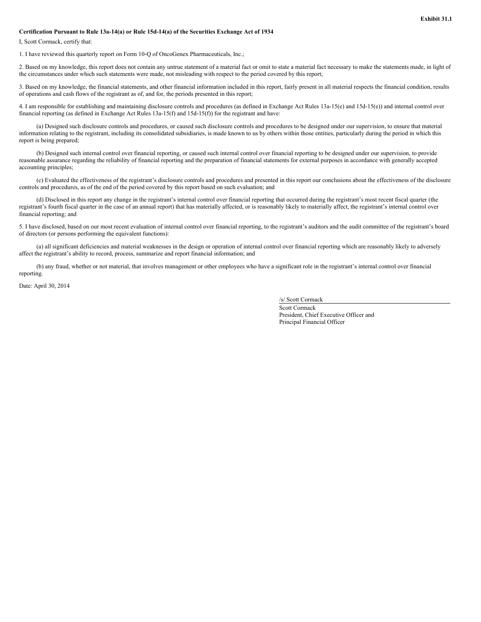# **Certification Pursuant to Rule 13a-14(a) or Rule 15d-14(a) of the Securities Exchange Act of 1934**

I, Scott Cormack, certify that:

1. I have reviewed this quarterly report on Form 10-Q of OncoGenex Pharmaceuticals, Inc.;

2. Based on my knowledge, this report does not contain any untrue statement of a material fact or omit to state a material fact necessary to make the statements made, in light of the circumstances under which such statements were made, not misleading with respect to the period covered by this report;

3. Based on my knowledge, the financial statements, and other financial information included in this report, fairly present in all material respects the financial condition, results of operations and cash flows of the registrant as of, and for, the periods presented in this report;

4. I am responsible for establishing and maintaining disclosure controls and procedures (as defined in Exchange Act Rules 13a-15(e) and 15d-15(e)) and internal control over financial reporting (as defined in Exchange Act Rules 13a-15(f) and 15d-15(f)) for the registrant and have:

(a) Designed such disclosure controls and procedures, or caused such disclosure controls and procedures to be designed under our supervision, to ensure that material information relating to the registrant, including its consolidated subsidiaries, is made known to us by others within those entities, particularly during the period in which this report is being prepared;

(b) Designed such internal control over financial reporting, or caused such internal control over financial reporting to be designed under our supervision, to provide reasonable assurance regarding the reliability of financial reporting and the preparation of financial statements for external purposes in accordance with generally accepted accounting principles;

(c) Evaluated the effectiveness of the registrant's disclosure controls and procedures and presented in this report our conclusions about the effectiveness of the disclosure controls and procedures, as of the end of the period covered by this report based on such evaluation; and

(d) Disclosed in this report any change in the registrant's internal control over financial reporting that occurred during the registrant's most recent fiscal quarter (the registrant's fourth fiscal quarter in the case of an annual report) that has materially affected, or is reasonably likely to materially affect, the registrant's internal control over financial reporting; and

5. I have disclosed, based on our most recent evaluation of internal control over financial reporting, to the registrant's auditors and the audit committee of the registrant's board of directors (or persons performing the equivalent functions):

(a) all significant deficiencies and material weaknesses in the design or operation of internal control over financial reporting which are reasonably likely to adversely affect the registrant's ability to record, process, summarize and report financial information; and

(b) any fraud, whether or not material, that involves management or other employees who have a significant role in the registrant's internal control over financial reporting.

Date: April 30, 2014

/s/ Scott Cormack

Scott Cormack President, Chief Executive Officer and Principal Financial Officer